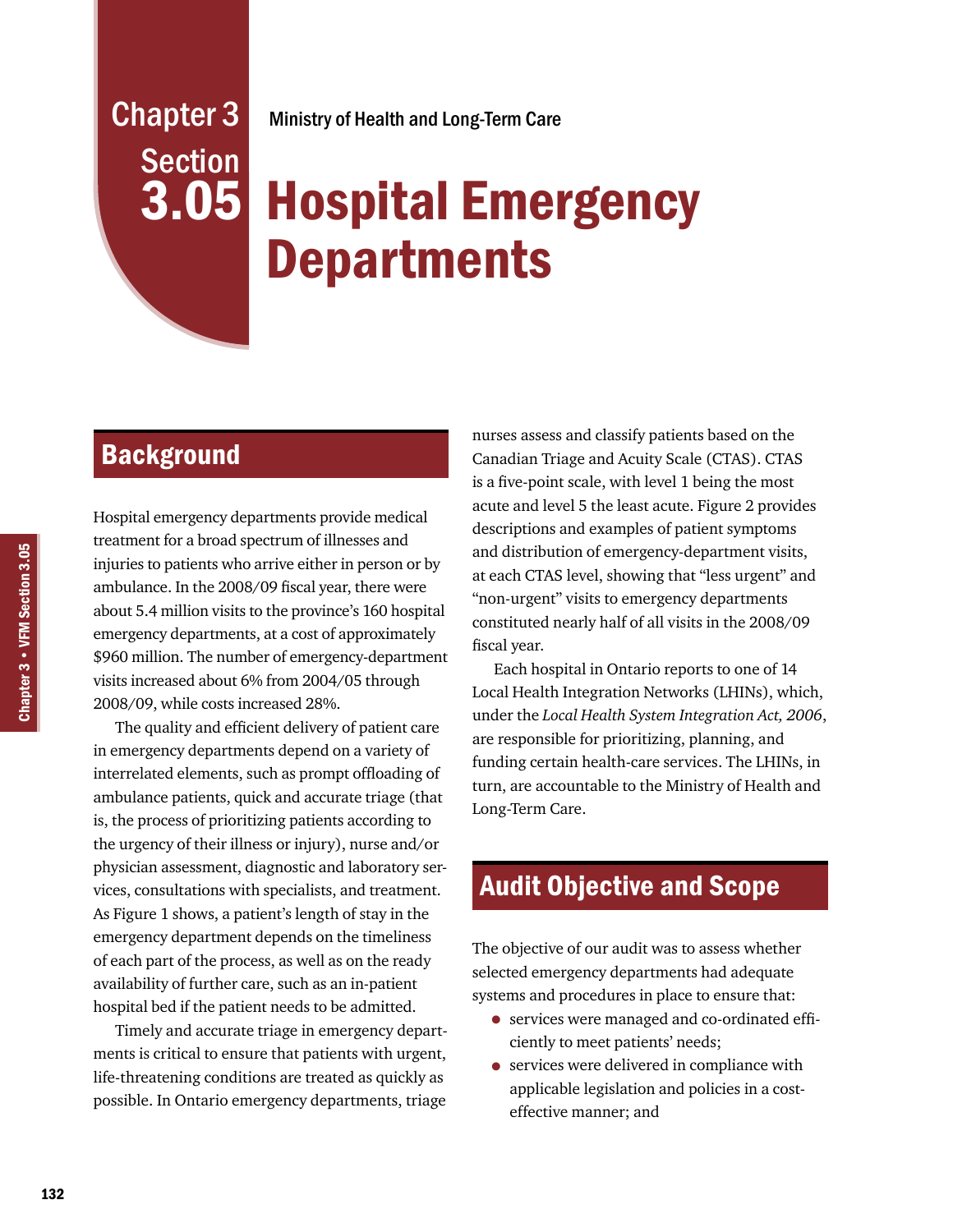# Section 3.05

## Chapter 3 Ministry of Health and Long-Term Care

# Hospital Emergency **Departments**

# **Background**

Hospital emergency departments provide medical treatment for a broad spectrum of illnesses and injuries to patients who arrive either in person or by ambulance. In the 2008/09 fiscal year, there were about 5.4 million visits to the province's 160 hospital emergency departments, at a cost of approximately \$960 million. The number of emergency-department visits increased about 6% from 2004/05 through 2008/09, while costs increased 28%.

The quality and efficient delivery of patient care in emergency departments depend on a variety of interrelated elements, such as prompt offloading of ambulance patients, quick and accurate triage (that is, the process of prioritizing patients according to the urgency of their illness or injury), nurse and/or physician assessment, diagnostic and laboratory services, consultations with specialists, and treatment. As Figure 1 shows, a patient's length of stay in the emergency department depends on the timeliness of each part of the process, as well as on the ready availability of further care, such as an in-patient hospital bed if the patient needs to be admitted.

Timely and accurate triage in emergency departments is critical to ensure that patients with urgent, life-threatening conditions are treated as quickly as possible. In Ontario emergency departments, triage nurses assess and classify patients based on the Canadian Triage and Acuity Scale (CTAS). CTAS is a five-point scale, with level 1 being the most acute and level 5 the least acute. Figure 2 provides descriptions and examples of patient symptoms and distribution of emergency-department visits, at each CTAS level, showing that "less urgent" and "non-urgent" visits to emergency departments constituted nearly half of all visits in the 2008/09 fiscal year.

Each hospital in Ontario reports to one of 14 Local Health Integration Networks (LHINs), which, under the *Local Health System Integration Act, 2006*, are responsible for prioritizing, planning, and funding certain health-care services. The LHINs, in turn, are accountable to the Ministry of Health and Long-Term Care.

# Audit Objective and Scope

The objective of our audit was to assess whether selected emergency departments had adequate systems and procedures in place to ensure that:

- services were managed and co-ordinated efficiently to meet patients' needs;
- services were delivered in compliance with applicable legislation and policies in a costeffective manner; and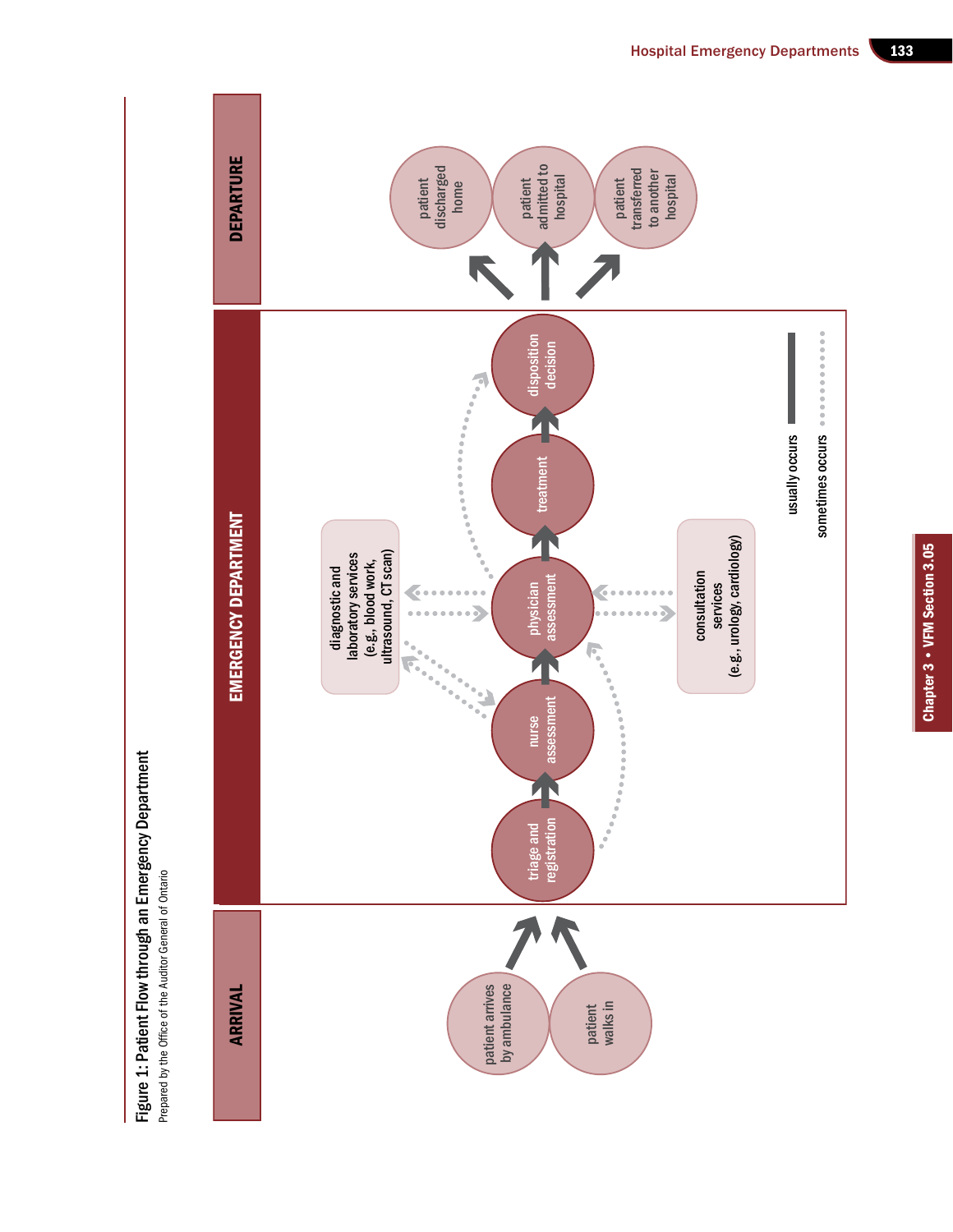

Figure 1: Patient Flow through an Emergency Department

Figure 1: Patient Flow through an Emergency Department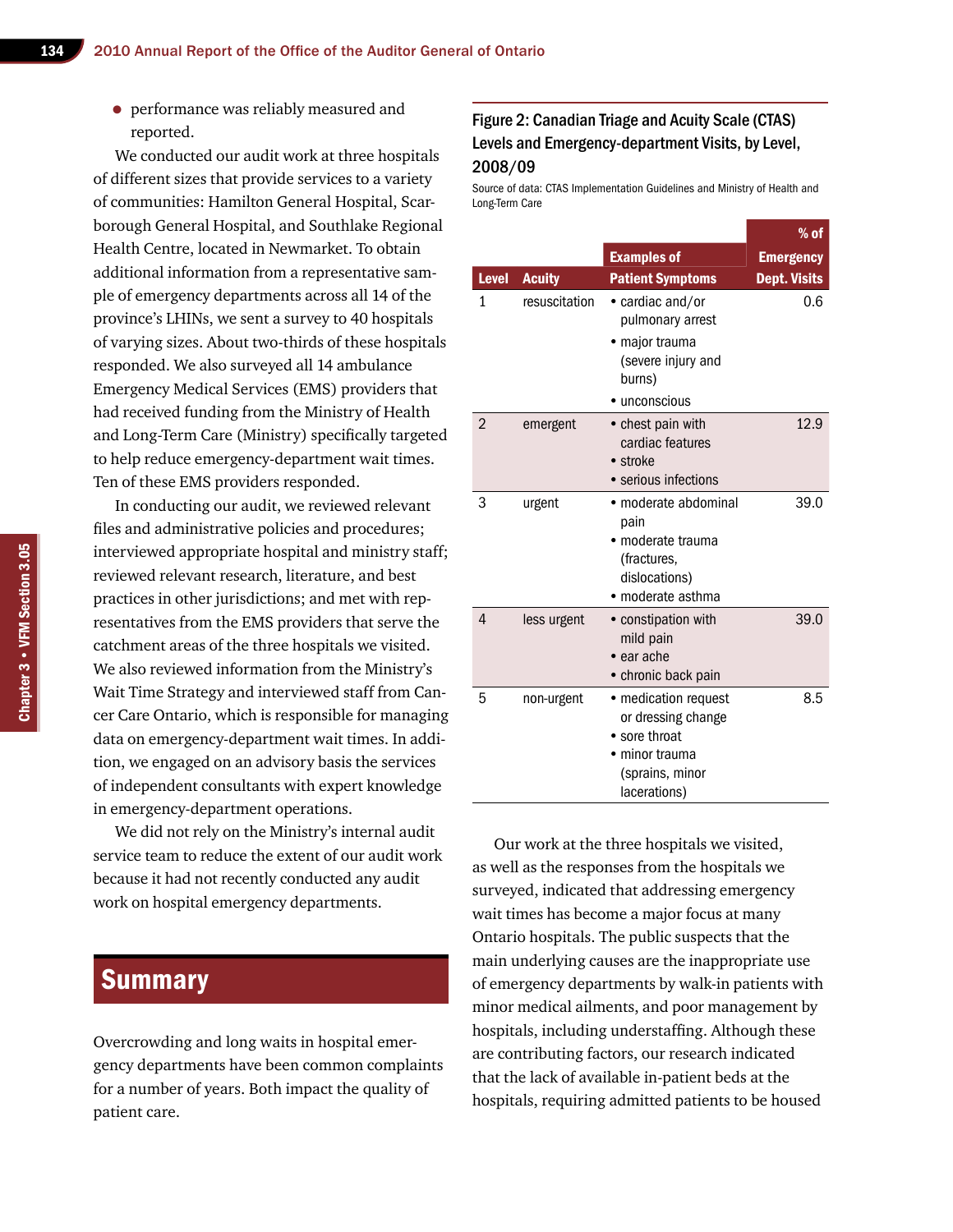• performance was reliably measured and reported.

We conducted our audit work at three hospitals of different sizes that provide services to a variety of communities: Hamilton General Hospital, Scarborough General Hospital, and Southlake Regional Health Centre, located in Newmarket. To obtain additional information from a representative sample of emergency departments across all 14 of the province's LHINs, we sent a survey to 40 hospitals of varying sizes. About two-thirds of these hospitals responded. We also surveyed all 14 ambulance Emergency Medical Services (EMS) providers that had received funding from the Ministry of Health and Long-Term Care (Ministry) specifically targeted to help reduce emergency-department wait times. Ten of these EMS providers responded.

In conducting our audit, we reviewed relevant files and administrative policies and procedures; interviewed appropriate hospital and ministry staff; reviewed relevant research, literature, and best practices in other jurisdictions; and met with representatives from the EMS providers that serve the catchment areas of the three hospitals we visited. We also reviewed information from the Ministry's Wait Time Strategy and interviewed staff from Cancer Care Ontario, which is responsible for managing data on emergency-department wait times. In addition, we engaged on an advisory basis the services of independent consultants with expert knowledge in emergency-department operations.

We did not rely on the Ministry's internal audit service team to reduce the extent of our audit work because it had not recently conducted any audit work on hospital emergency departments.

## **Summary**

Overcrowding and long waits in hospital emergency departments have been common complaints for a number of years. Both impact the quality of patient care.

## Figure 2: Canadian Triage and Acuity Scale (CTAS) Levels and Emergency-department Visits, by Level, 2008/09

Source of data: CTAS Implementation Guidelines and Ministry of Health and Long-Term Care

|                |               |                                                                                                                | $%$ of              |
|----------------|---------------|----------------------------------------------------------------------------------------------------------------|---------------------|
|                |               | <b>Examples of</b>                                                                                             | <b>Emergency</b>    |
| <b>Level</b>   | <b>Acuity</b> | <b>Patient Symptoms</b>                                                                                        | <b>Dept. Visits</b> |
| 1              | resuscitation | • cardiac and/or<br>pulmonary arrest<br>· major trauma<br>(severe injury and<br>burns)<br>• unconscious        | 0.6                 |
| $\overline{2}$ | emergent      | • chest pain with<br>cardiac features<br>• stroke<br>• serious infections                                      | 12.9                |
| 3              | urgent        | • moderate abdominal<br>pain<br>· moderate trauma<br>(fractures,<br>dislocations)<br>• moderate asthma         | 39.0                |
| 4              | less urgent   | • constipation with<br>mild pain<br>$\bullet$ ear ache<br>• chronic back pain                                  | 39.0                |
| 5              | non-urgent    | • medication request<br>or dressing change<br>• sore throat<br>minor trauma<br>(sprains, minor<br>lacerations) | 8.5                 |

Our work at the three hospitals we visited, as well as the responses from the hospitals we surveyed, indicated that addressing emergency wait times has become a major focus at many Ontario hospitals. The public suspects that the main underlying causes are the inappropriate use of emergency departments by walk-in patients with minor medical ailments, and poor management by hospitals, including understaffing. Although these are contributing factors, our research indicated that the lack of available in-patient beds at the hospitals, requiring admitted patients to be housed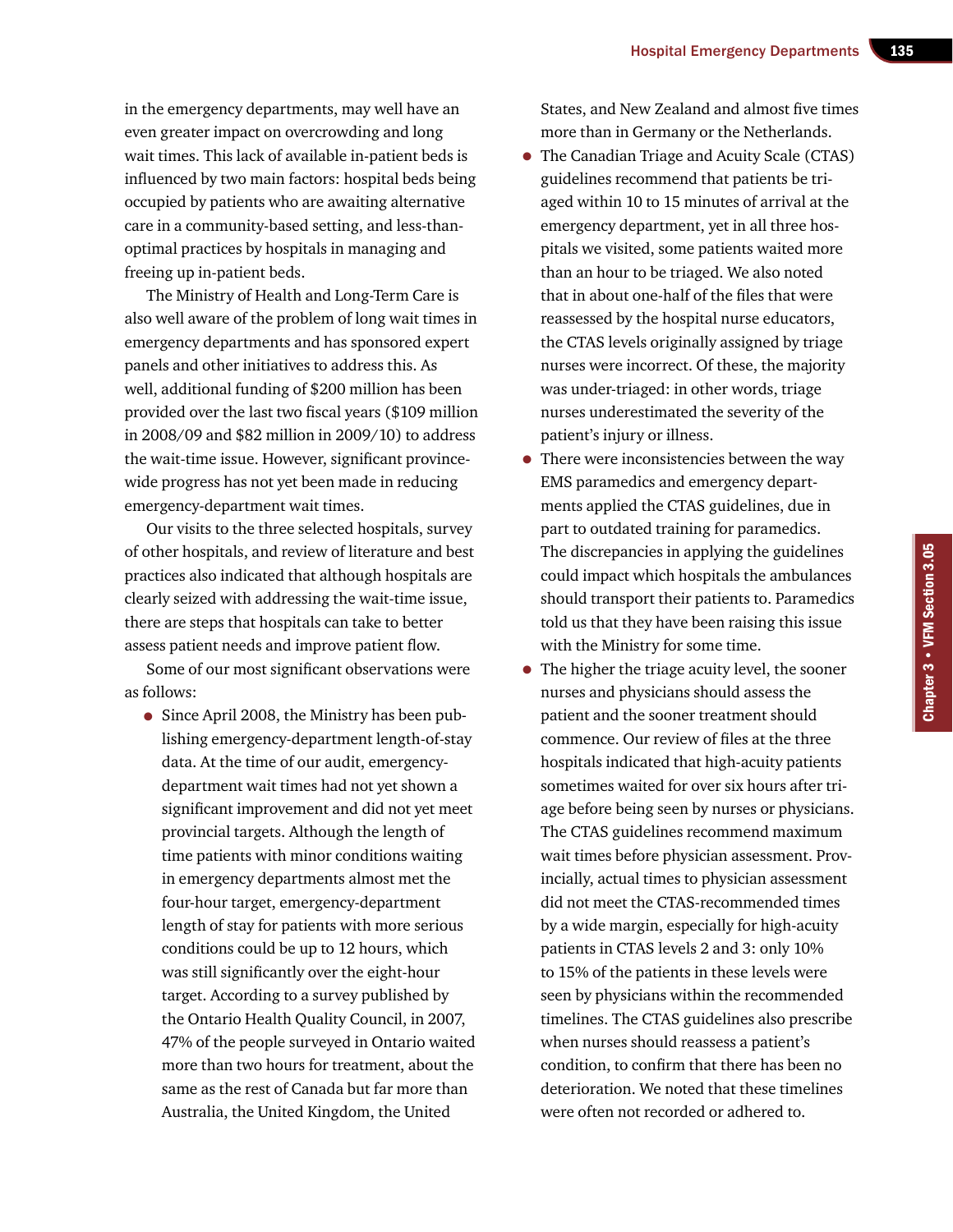in the emergency departments, may well have an even greater impact on overcrowding and long wait times. This lack of available in-patient beds is influenced by two main factors: hospital beds being occupied by patients who are awaiting alternative care in a community-based setting, and less-thanoptimal practices by hospitals in managing and freeing up in-patient beds.

The Ministry of Health and Long-Term Care is also well aware of the problem of long wait times in emergency departments and has sponsored expert panels and other initiatives to address this. As well, additional funding of \$200 million has been provided over the last two fiscal years (\$109 million in 2008/09 and \$82 million in 2009/10) to address the wait-time issue. However, significant provincewide progress has not yet been made in reducing emergency-department wait times.

Our visits to the three selected hospitals, survey of other hospitals, and review of literature and best practices also indicated that although hospitals are clearly seized with addressing the wait-time issue, there are steps that hospitals can take to better assess patient needs and improve patient flow.

Some of our most significant observations were as follows:

• Since April 2008, the Ministry has been publishing emergency-department length-of-stay data. At the time of our audit, emergencydepartment wait times had not yet shown a significant improvement and did not yet meet provincial targets. Although the length of time patients with minor conditions waiting in emergency departments almost met the four-hour target, emergency-department length of stay for patients with more serious conditions could be up to 12 hours, which was still significantly over the eight-hour target. According to a survey published by the Ontario Health Quality Council, in 2007, 47% of the people surveyed in Ontario waited more than two hours for treatment, about the same as the rest of Canada but far more than Australia, the United Kingdom, the United

States, and New Zealand and almost five times more than in Germany or the Netherlands.

- The Canadian Triage and Acuity Scale (CTAS) guidelines recommend that patients be triaged within 10 to 15 minutes of arrival at the emergency department, yet in all three hospitals we visited, some patients waited more than an hour to be triaged. We also noted that in about one-half of the files that were reassessed by the hospital nurse educators, the CTAS levels originally assigned by triage nurses were incorrect. Of these, the majority was under-triaged: in other words, triage nurses underestimated the severity of the patient's injury or illness.
- There were inconsistencies between the way EMS paramedics and emergency departments applied the CTAS guidelines, due in part to outdated training for paramedics. The discrepancies in applying the guidelines could impact which hospitals the ambulances should transport their patients to. Paramedics told us that they have been raising this issue with the Ministry for some time.
- The higher the triage acuity level, the sooner nurses and physicians should assess the patient and the sooner treatment should commence. Our review of files at the three hospitals indicated that high-acuity patients sometimes waited for over six hours after triage before being seen by nurses or physicians. The CTAS guidelines recommend maximum wait times before physician assessment. Provincially, actual times to physician assessment did not meet the CTAS-recommended times by a wide margin, especially for high-acuity patients in CTAS levels 2 and 3: only 10% to 15% of the patients in these levels were seen by physicians within the recommended timelines. The CTAS guidelines also prescribe when nurses should reassess a patient's condition, to confirm that there has been no deterioration. We noted that these timelines were often not recorded or adhered to.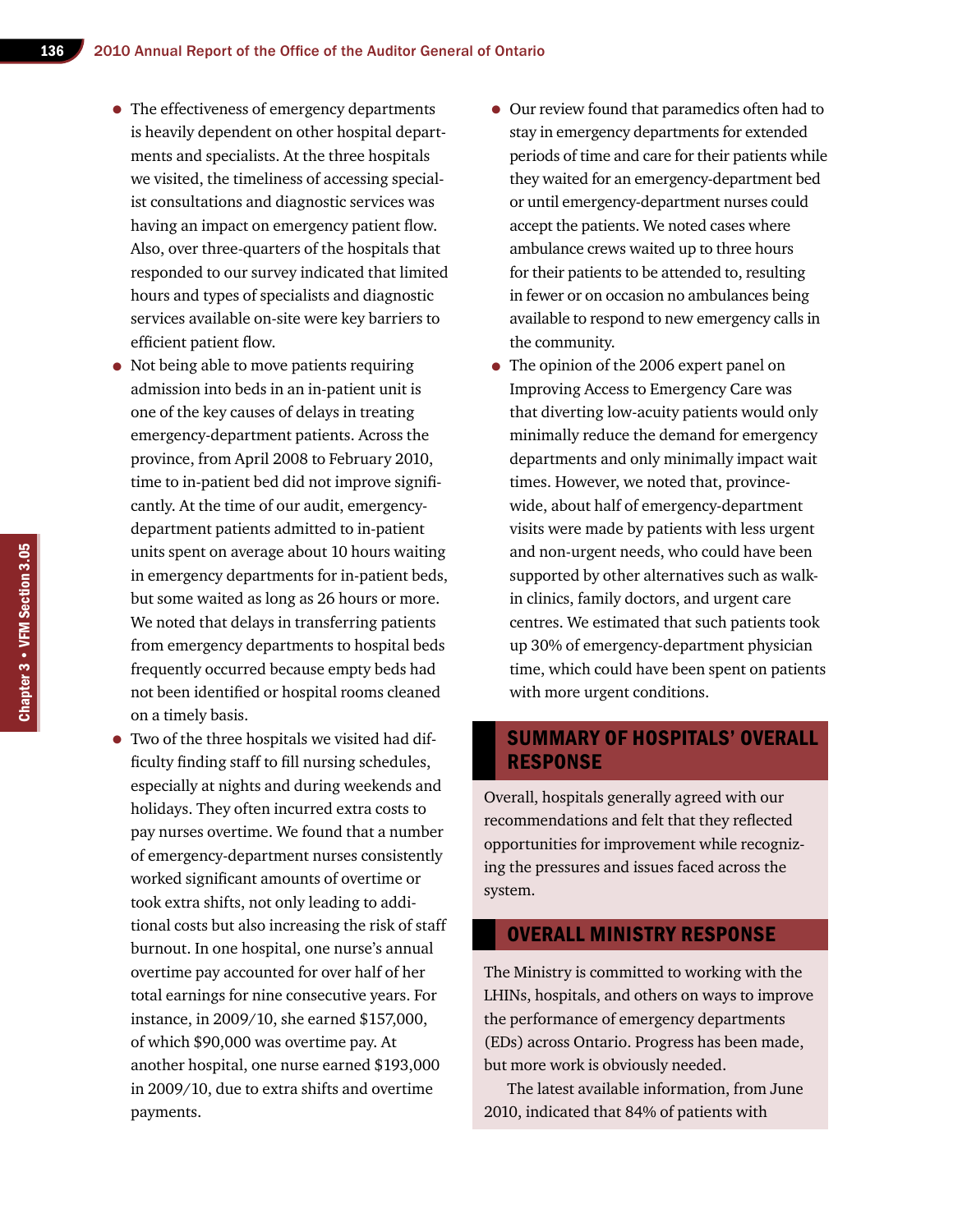- The effectiveness of emergency departments is heavily dependent on other hospital departments and specialists. At the three hospitals we visited, the timeliness of accessing specialist consultations and diagnostic services was having an impact on emergency patient flow. Also, over three-quarters of the hospitals that responded to our survey indicated that limited hours and types of specialists and diagnostic services available on-site were key barriers to efficient patient flow.
- Not being able to move patients requiring admission into beds in an in-patient unit is one of the key causes of delays in treating emergency-department patients. Across the province, from April 2008 to February 2010, time to in-patient bed did not improve significantly. At the time of our audit, emergencydepartment patients admitted to in-patient units spent on average about 10 hours waiting in emergency departments for in-patient beds, but some waited as long as 26 hours or more. We noted that delays in transferring patients from emergency departments to hospital beds frequently occurred because empty beds had not been identified or hospital rooms cleaned on a timely basis.
- Two of the three hospitals we visited had difficulty finding staff to fill nursing schedules, especially at nights and during weekends and holidays. They often incurred extra costs to pay nurses overtime. We found that a number of emergency-department nurses consistently worked significant amounts of overtime or took extra shifts, not only leading to additional costs but also increasing the risk of staff burnout. In one hospital, one nurse's annual overtime pay accounted for over half of her total earnings for nine consecutive years. For instance, in 2009/10, she earned \$157,000, of which \$90,000 was overtime pay. At another hospital, one nurse earned \$193,000 in 2009/10, due to extra shifts and overtime payments.
- Our review found that paramedics often had to stay in emergency departments for extended periods of time and care for their patients while they waited for an emergency-department bed or until emergency-department nurses could accept the patients. We noted cases where ambulance crews waited up to three hours for their patients to be attended to, resulting in fewer or on occasion no ambulances being available to respond to new emergency calls in the community.
- The opinion of the 2006 expert panel on Improving Access to Emergency Care was that diverting low-acuity patients would only minimally reduce the demand for emergency departments and only minimally impact wait times. However, we noted that, provincewide, about half of emergency-department visits were made by patients with less urgent and non-urgent needs, who could have been supported by other alternatives such as walkin clinics, family doctors, and urgent care centres. We estimated that such patients took up 30% of emergency-department physician time, which could have been spent on patients with more urgent conditions.

## summary of hospitals' Overall **RESPONSE**

Overall, hospitals generally agreed with our recommendations and felt that they reflected opportunities for improvement while recognizing the pressures and issues faced across the system.

#### Overall Ministry Response

The Ministry is committed to working with the LHINs, hospitals, and others on ways to improve the performance of emergency departments (EDs) across Ontario. Progress has been made, but more work is obviously needed.

The latest available information, from June 2010, indicated that 84% of patients with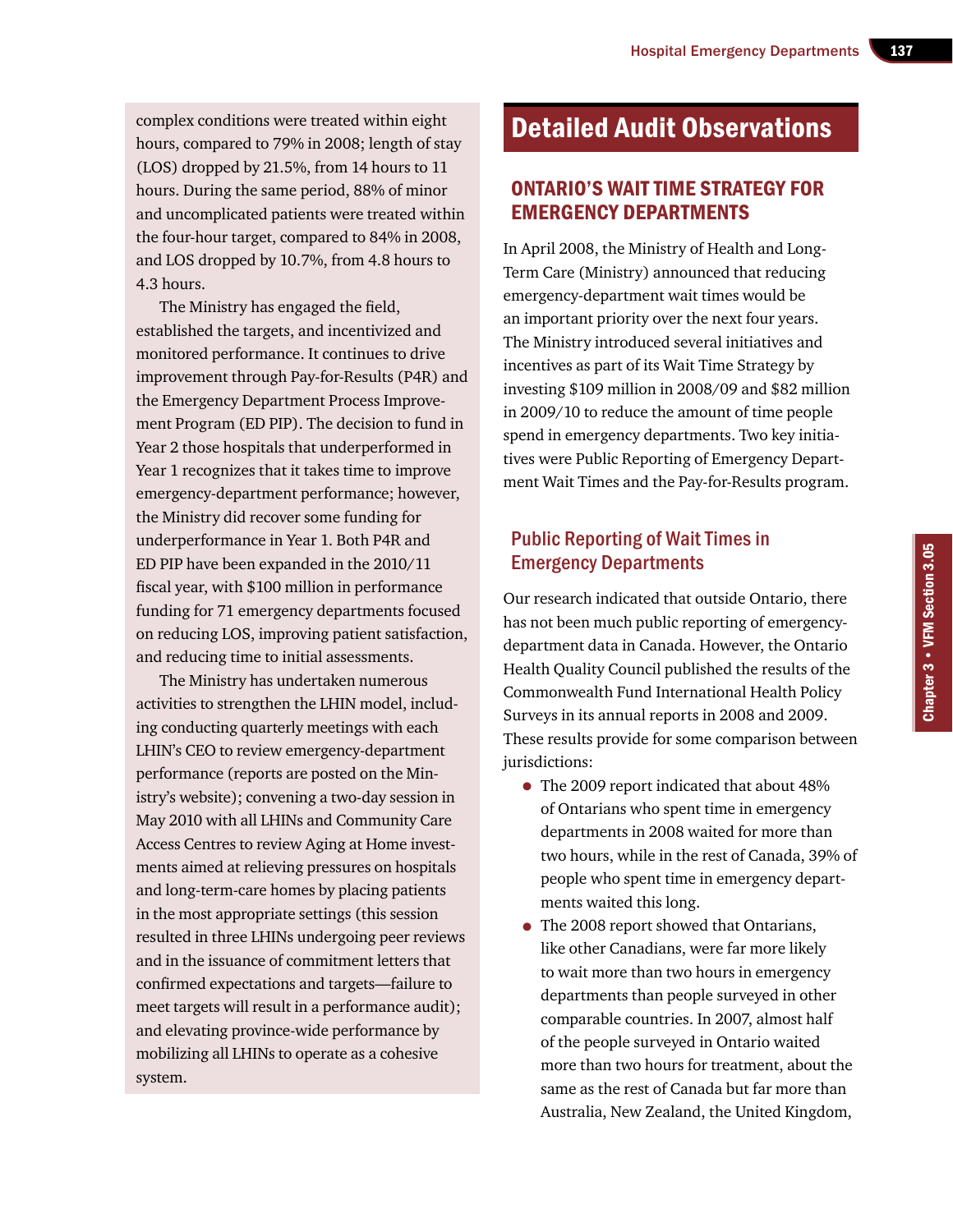complex conditions were treated within eight hours, compared to 79% in 2008; length of stay (LOS) dropped by 21.5%, from 14 hours to 11 hours. During the same period, 88% of minor and uncomplicated patients were treated within the four-hour target, compared to 84% in 2008, and LOS dropped by 10.7%, from 4.8 hours to 4.3 hours.

The Ministry has engaged the field, established the targets, and incentivized and monitored performance. It continues to drive improvement through Pay-for-Results (P4R) and the Emergency Department Process Improvement Program (ED PIP). The decision to fund in Year 2 those hospitals that underperformed in Year 1 recognizes that it takes time to improve emergency-department performance; however, the Ministry did recover some funding for underperformance in Year 1. Both P4R and ED PIP have been expanded in the 2010/11 fiscal year, with \$100 million in performance funding for 71 emergency departments focused on reducing LOS, improving patient satisfaction, and reducing time to initial assessments.

The Ministry has undertaken numerous activities to strengthen the LHIN model, including conducting quarterly meetings with each LHIN's CEO to review emergency-department performance (reports are posted on the Ministry's website); convening a two-day session in May 2010 with all LHINs and Community Care Access Centres to review Aging at Home investments aimed at relieving pressures on hospitals and long-term-care homes by placing patients in the most appropriate settings (this session resulted in three LHINs undergoing peer reviews and in the issuance of commitment letters that confirmed expectations and targets—failure to meet targets will result in a performance audit); and elevating province-wide performance by mobilizing all LHINs to operate as a cohesive system.

# Detailed Audit Observations

## Ontario's Wait Time Strategy for Emergency Departments

In April 2008, the Ministry of Health and Long-Term Care (Ministry) announced that reducing emergency-department wait times would be an important priority over the next four years. The Ministry introduced several initiatives and incentives as part of its Wait Time Strategy by investing \$109 million in 2008/09 and \$82 million in 2009/10 to reduce the amount of time people spend in emergency departments. Two key initiatives were Public Reporting of Emergency Department Wait Times and the Pay-for-Results program.

## Public Reporting of Wait Times in Emergency Departments

Our research indicated that outside Ontario, there has not been much public reporting of emergencydepartment data in Canada. However, the Ontario Health Quality Council published the results of the Commonwealth Fund International Health Policy Surveys in its annual reports in 2008 and 2009. These results provide for some comparison between jurisdictions:

- The 2009 report indicated that about 48% of Ontarians who spent time in emergency departments in 2008 waited for more than two hours, while in the rest of Canada, 39% of people who spent time in emergency departments waited this long.
- The 2008 report showed that Ontarians, like other Canadians, were far more likely to wait more than two hours in emergency departments than people surveyed in other comparable countries. In 2007, almost half of the people surveyed in Ontario waited more than two hours for treatment, about the same as the rest of Canada but far more than Australia, New Zealand, the United Kingdom,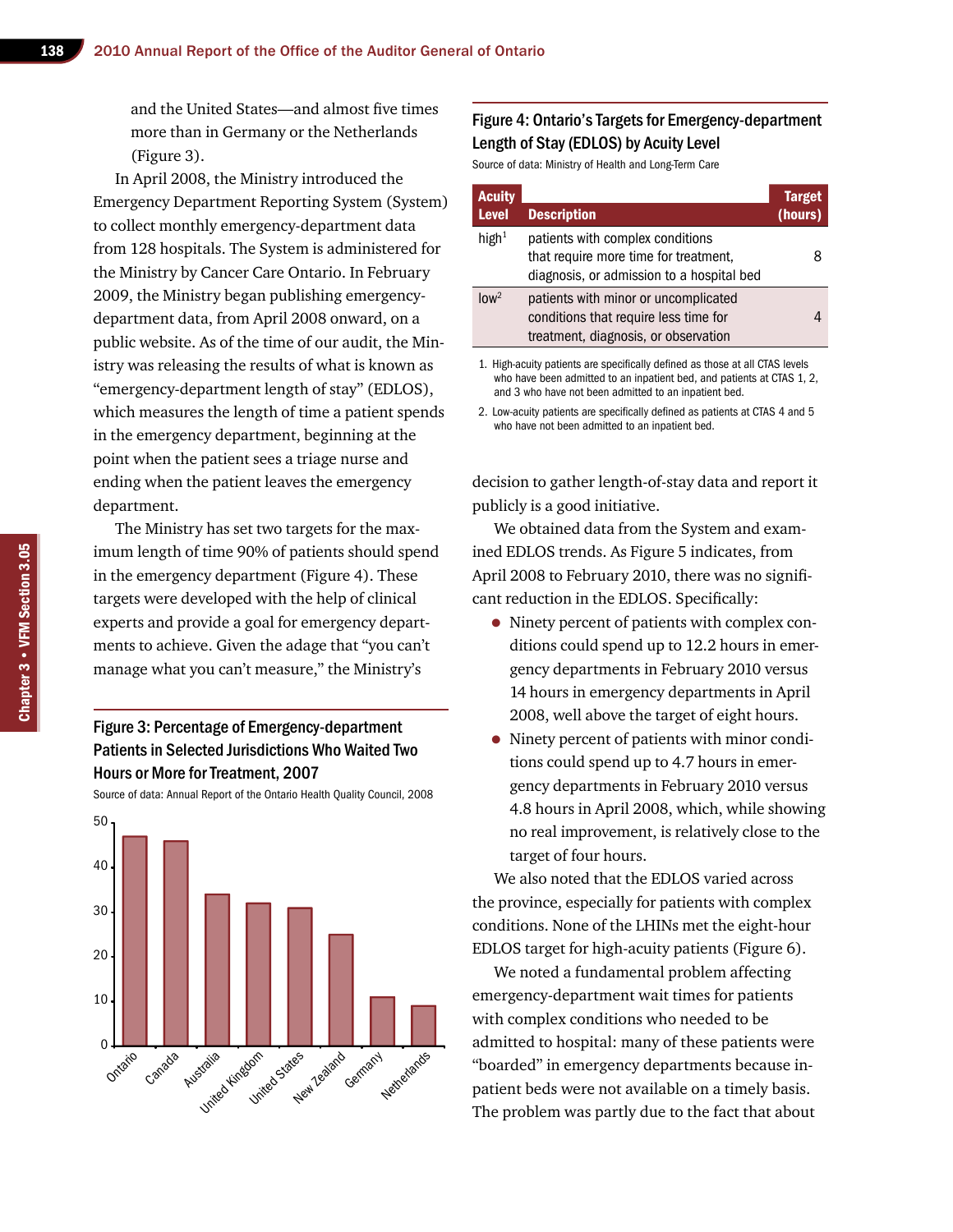and the United States—and almost five times more than in Germany or the Netherlands (Figure 3).

In April 2008, the Ministry introduced the Emergency Department Reporting System (System) to collect monthly emergency-department data from 128 hospitals. The System is administered for the Ministry by Cancer Care Ontario. In February 2009, the Ministry began publishing emergencydepartment data, from April 2008 onward, on a public website. As of the time of our audit, the Ministry was releasing the results of what is known as "emergency-department length of stay" (EDLOS), which measures the length of time a patient spends in the emergency department, beginning at the point when the patient sees a triage nurse and ending when the patient leaves the emergency department.

The Ministry has set two targets for the maximum length of time 90% of patients should spend in the emergency department (Figure 4). These targets were developed with the help of clinical experts and provide a goal for emergency departments to achieve. Given the adage that "you can't manage what you can't measure," the Ministry's

#### Figure 3: Percentage of Emergency-department Patients in Selected Jurisdictions Who Waited Two Hours or More for Treatment, 2007

Source of data: Annual Report of the Ontario Health Quality Council, 2008



#### Figure 4: Ontario's Targets for Emergency-department Length of Stay (EDLOS) by Acuity Level

Source of data: Ministry of Health and Long-Term Care

| <b>Acuity</b><br><b>Level</b> | <b>Description</b>                                                                                                     | <b>Target</b><br>(hours) |
|-------------------------------|------------------------------------------------------------------------------------------------------------------------|--------------------------|
| high $1$                      | patients with complex conditions<br>that require more time for treatment,<br>diagnosis, or admission to a hospital bed | 8                        |
| $\ln w^2$                     | patients with minor or uncomplicated<br>conditions that require less time for<br>treatment, diagnosis, or observation  |                          |
|                               |                                                                                                                        |                          |

1. High-acuity patients are specifically defined as those at all CTAS levels who have been admitted to an inpatient bed, and patients at CTAS 1, 2, and 3 who have not been admitted to an inpatient bed.

2. Low-acuity patients are specifically defined as patients at CTAS 4 and 5 who have not been admitted to an inpatient bed.

decision to gather length-of-stay data and report it publicly is a good initiative.

We obtained data from the System and examined EDLOS trends. As Figure 5 indicates, from April 2008 to February 2010, there was no significant reduction in the EDLOS. Specifically:

- Ninety percent of patients with complex conditions could spend up to 12.2 hours in emergency departments in February 2010 versus 14 hours in emergency departments in April 2008, well above the target of eight hours.
- Ninety percent of patients with minor conditions could spend up to 4.7 hours in emergency departments in February 2010 versus 4.8 hours in April 2008, which, while showing no real improvement, is relatively close to the target of four hours.

We also noted that the EDLOS varied across the province, especially for patients with complex conditions. None of the LHINs met the eight-hour EDLOS target for high-acuity patients (Figure 6).

We noted a fundamental problem affecting emergency-department wait times for patients with complex conditions who needed to be admitted to hospital: many of these patients were "boarded" in emergency departments because inpatient beds were not available on a timely basis. The problem was partly due to the fact that about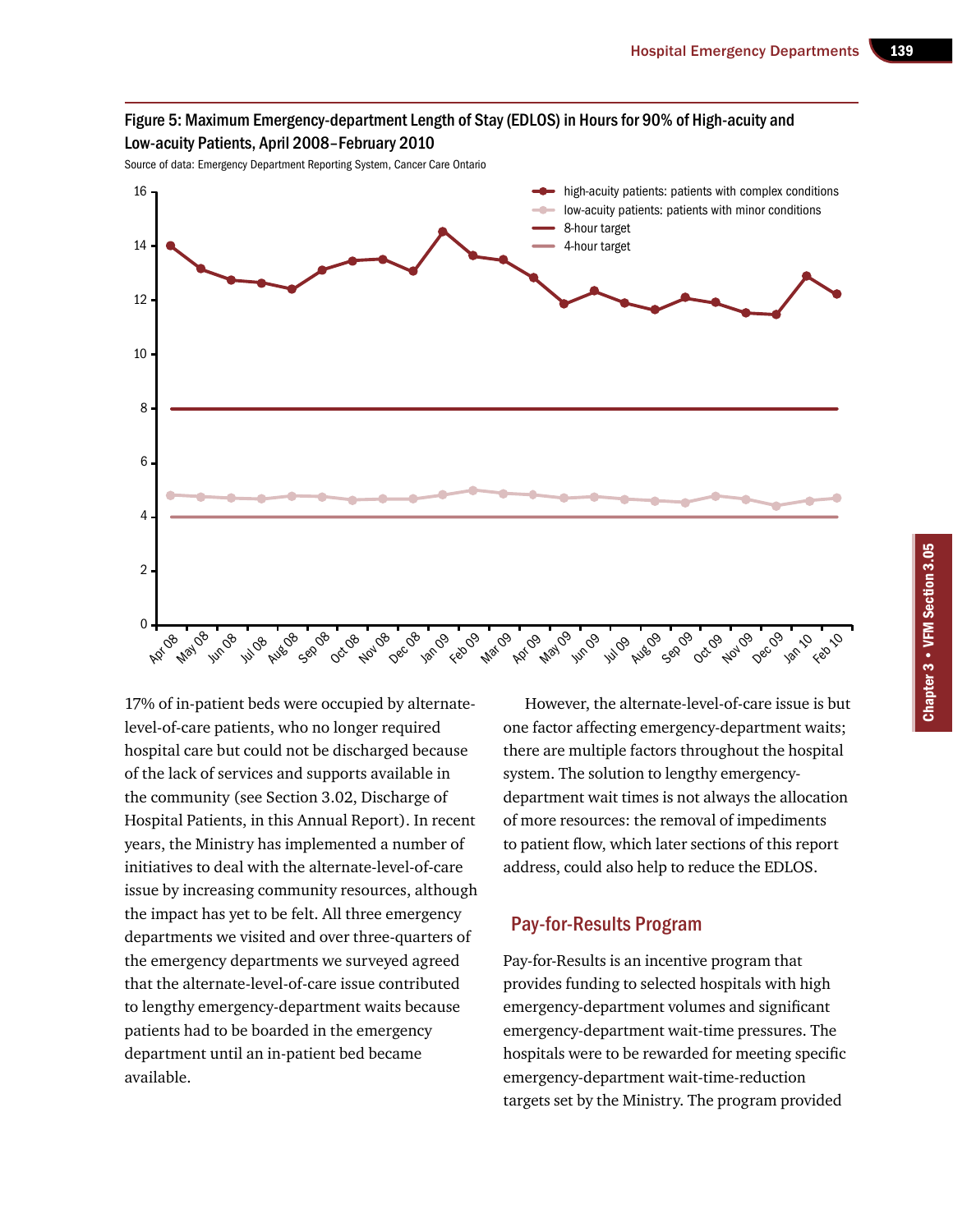

Source of data: Emergency Department Reporting System, Cancer Care Ontario



17% of in-patient beds were occupied by alternatelevel-of-care patients, who no longer required hospital care but could not be discharged because of the lack of services and supports available in the community (see Section 3.02, Discharge of Hospital Patients, in this Annual Report). In recent years, the Ministry has implemented a number of initiatives to deal with the alternate-level-of-care issue by increasing community resources, although the impact has yet to be felt. All three emergency departments we visited and over three-quarters of the emergency departments we surveyed agreed that the alternate-level-of-care issue contributed to lengthy emergency-department waits because patients had to be boarded in the emergency department until an in-patient bed became available.

However, the alternate-level-of-care issue is but one factor affecting emergency-department waits; there are multiple factors throughout the hospital system. The solution to lengthy emergencydepartment wait times is not always the allocation of more resources: the removal of impediments to patient flow, which later sections of this report address, could also help to reduce the EDLOS.

#### Pay-for-Results Program

Pay-for-Results is an incentive program that provides funding to selected hospitals with high emergency-department volumes and significant emergency-department wait-time pressures. The hospitals were to be rewarded for meeting specific emergency-department wait-time-reduction targets set by the Ministry. The program provided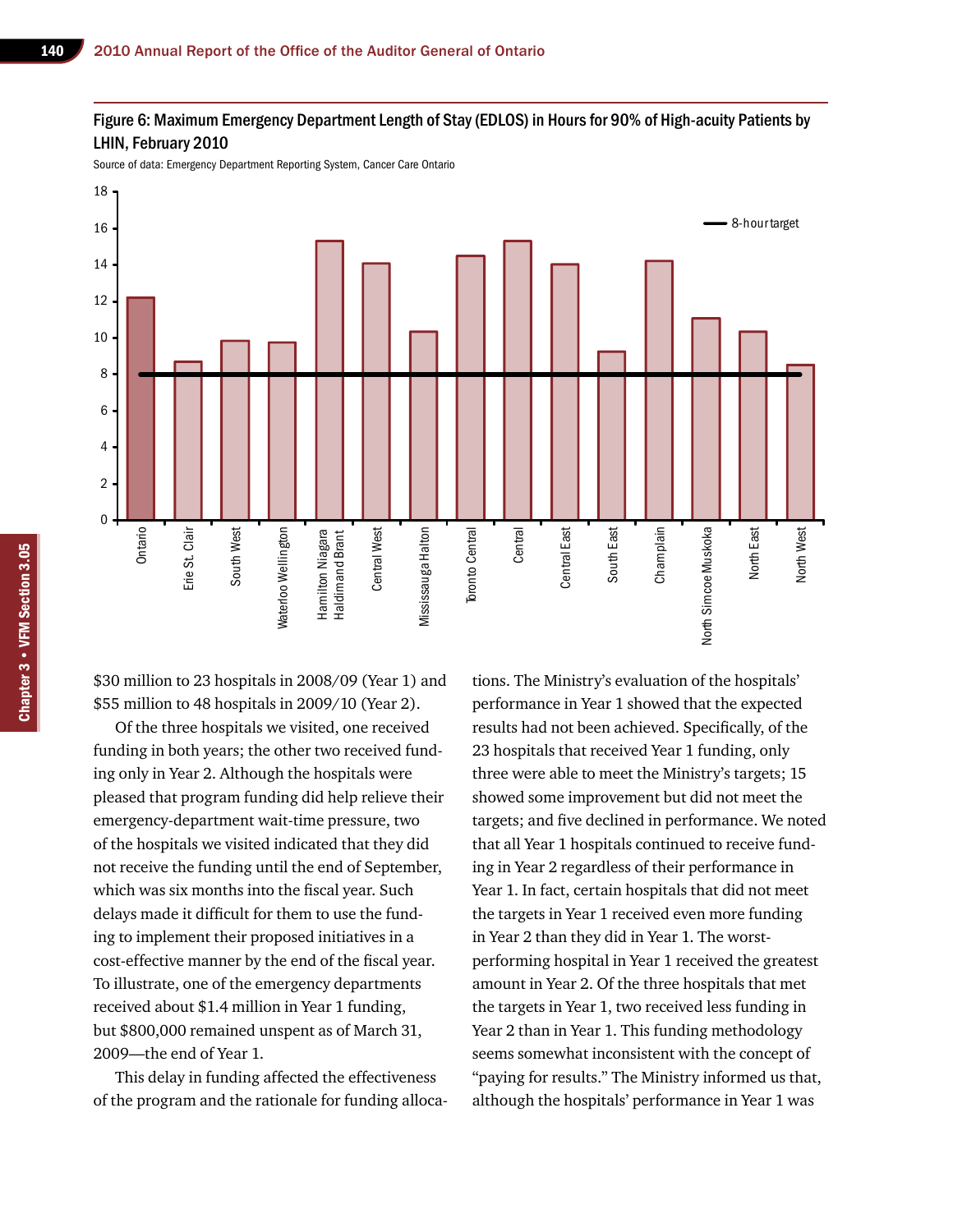#### Figure 6: Maximum Emergency Department Length of Stay (EDLOS) in Hours for 90% of High-acuity Patients by LHIN, February 2010

Source of data: Emergency Department Reporting System, Cancer Care Ontario



\$30 million to 23 hospitals in 2008/09 (Year 1) and \$55 million to 48 hospitals in 2009/10 (Year 2).

Of the three hospitals we visited, one received funding in both years; the other two received funding only in Year 2. Although the hospitals were pleased that program funding did help relieve their emergency-department wait-time pressure, two of the hospitals we visited indicated that they did not receive the funding until the end of September, which was six months into the fiscal year. Such delays made it difficult for them to use the funding to implement their proposed initiatives in a cost-effective manner by the end of the fiscal year. To illustrate, one of the emergency departments received about \$1.4 million in Year 1 funding, but \$800,000 remained unspent as of March 31, 2009—the end of Year 1.

This delay in funding affected the effectiveness of the program and the rationale for funding allocations. The Ministry's evaluation of the hospitals' performance in Year 1 showed that the expected results had not been achieved. Specifically, of the 23 hospitals that received Year 1 funding, only three were able to meet the Ministry's targets; 15 showed some improvement but did not meet the targets; and five declined in performance. We noted that all Year 1 hospitals continued to receive funding in Year 2 regardless of their performance in Year 1. In fact, certain hospitals that did not meet the targets in Year 1 received even more funding in Year 2 than they did in Year 1. The worstperforming hospital in Year 1 received the greatest amount in Year 2. Of the three hospitals that met the targets in Year 1, two received less funding in Year 2 than in Year 1. This funding methodology seems somewhat inconsistent with the concept of "paying for results." The Ministry informed us that, although the hospitals' performance in Year 1 was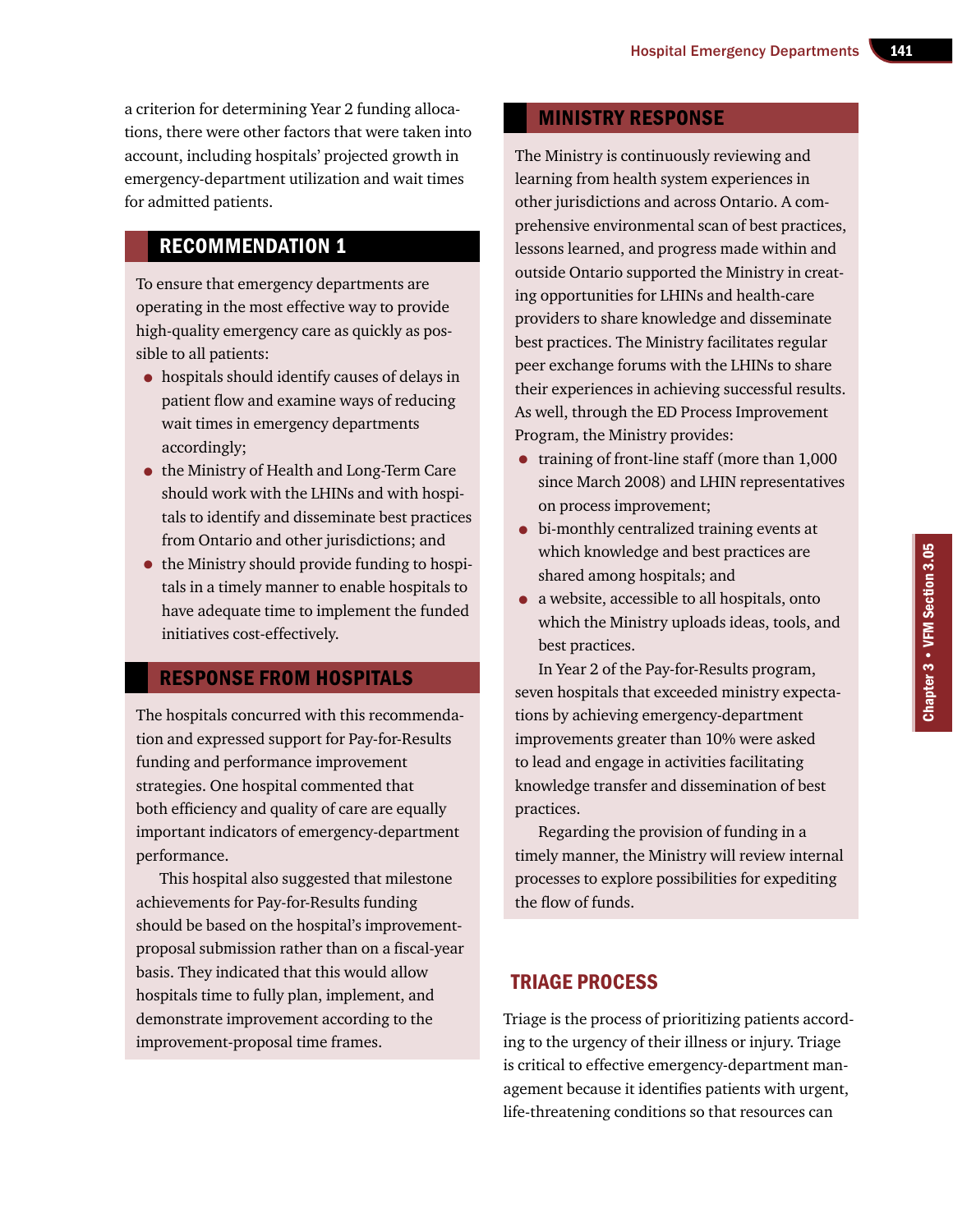a criterion for determining Year 2 funding allocations, there were other factors that were taken into account, including hospitals' projected growth in emergency-department utilization and wait times for admitted patients.

## Recommendation 1

To ensure that emergency departments are operating in the most effective way to provide high-quality emergency care as quickly as possible to all patients:

- hospitals should identify causes of delays in patient flow and examine ways of reducing wait times in emergency departments accordingly;
- the Ministry of Health and Long-Term Care should work with the LHINs and with hospitals to identify and disseminate best practices from Ontario and other jurisdictions; and
- the Ministry should provide funding to hospitals in a timely manner to enable hospitals to have adequate time to implement the funded initiatives cost-effectively.

## Response from Hospitals

The hospitals concurred with this recommendation and expressed support for Pay-for-Results funding and performance improvement strategies. One hospital commented that both efficiency and quality of care are equally important indicators of emergency-department performance.

This hospital also suggested that milestone achievements for Pay-for-Results funding should be based on the hospital's improvementproposal submission rather than on a fiscal-year basis. They indicated that this would allow hospitals time to fully plan, implement, and demonstrate improvement according to the improvement-proposal time frames.

## Ministry Response

The Ministry is continuously reviewing and learning from health system experiences in other jurisdictions and across Ontario. A comprehensive environmental scan of best practices, lessons learned, and progress made within and outside Ontario supported the Ministry in creating opportunities for LHINs and health-care providers to share knowledge and disseminate best practices. The Ministry facilitates regular peer exchange forums with the LHINs to share their experiences in achieving successful results. As well, through the ED Process Improvement Program, the Ministry provides:

- training of front-line staff (more than 1,000) since March 2008) and LHIN representatives on process improvement;
- bi-monthly centralized training events at which knowledge and best practices are shared among hospitals; and
- a website, accessible to all hospitals, onto which the Ministry uploads ideas, tools, and best practices.

In Year 2 of the Pay-for-Results program, seven hospitals that exceeded ministry expectations by achieving emergency-department improvements greater than 10% were asked to lead and engage in activities facilitating knowledge transfer and dissemination of best practices.

Regarding the provision of funding in a timely manner, the Ministry will review internal processes to explore possibilities for expediting the flow of funds.

## Triage Process

Triage is the process of prioritizing patients according to the urgency of their illness or injury. Triage is critical to effective emergency-department management because it identifies patients with urgent, life-threatening conditions so that resources can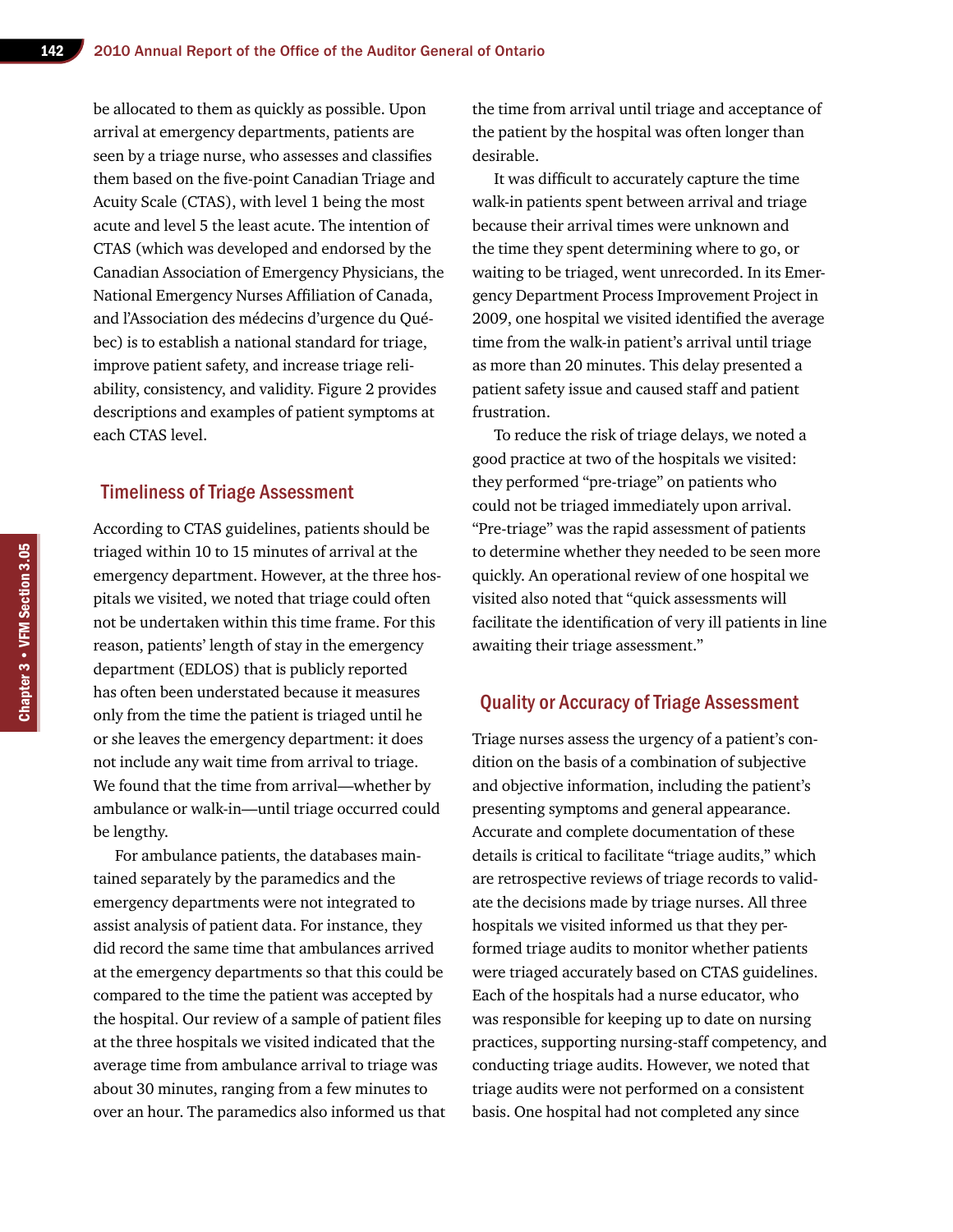be allocated to them as quickly as possible. Upon arrival at emergency departments, patients are seen by a triage nurse, who assesses and classifies them based on the five-point Canadian Triage and Acuity Scale (CTAS), with level 1 being the most acute and level 5 the least acute. The intention of CTAS (which was developed and endorsed by the Canadian Association of Emergency Physicians, the National Emergency Nurses Affiliation of Canada, and l'Association des médecins d'urgence du Québec) is to establish a national standard for triage, improve patient safety, and increase triage reliability, consistency, and validity. Figure 2 provides descriptions and examples of patient symptoms at each CTAS level.

#### Timeliness of Triage Assessment

According to CTAS guidelines, patients should be triaged within 10 to 15 minutes of arrival at the emergency department. However, at the three hospitals we visited, we noted that triage could often not be undertaken within this time frame. For this reason, patients' length of stay in the emergency department (EDLOS) that is publicly reported has often been understated because it measures only from the time the patient is triaged until he or she leaves the emergency department: it does not include any wait time from arrival to triage. We found that the time from arrival—whether by ambulance or walk-in—until triage occurred could be lengthy.

For ambulance patients, the databases maintained separately by the paramedics and the emergency departments were not integrated to assist analysis of patient data. For instance, they did record the same time that ambulances arrived at the emergency departments so that this could be compared to the time the patient was accepted by the hospital. Our review of a sample of patient files at the three hospitals we visited indicated that the average time from ambulance arrival to triage was about 30 minutes, ranging from a few minutes to over an hour. The paramedics also informed us that the time from arrival until triage and acceptance of the patient by the hospital was often longer than desirable.

It was difficult to accurately capture the time walk-in patients spent between arrival and triage because their arrival times were unknown and the time they spent determining where to go, or waiting to be triaged, went unrecorded. In its Emergency Department Process Improvement Project in 2009, one hospital we visited identified the average time from the walk-in patient's arrival until triage as more than 20 minutes. This delay presented a patient safety issue and caused staff and patient frustration.

To reduce the risk of triage delays, we noted a good practice at two of the hospitals we visited: they performed "pre-triage" on patients who could not be triaged immediately upon arrival. "Pre-triage" was the rapid assessment of patients to determine whether they needed to be seen more quickly. An operational review of one hospital we visited also noted that "quick assessments will facilitate the identification of very ill patients in line awaiting their triage assessment."

#### Quality or Accuracy of Triage Assessment

Triage nurses assess the urgency of a patient's condition on the basis of a combination of subjective and objective information, including the patient's presenting symptoms and general appearance. Accurate and complete documentation of these details is critical to facilitate "triage audits," which are retrospective reviews of triage records to validate the decisions made by triage nurses. All three hospitals we visited informed us that they performed triage audits to monitor whether patients were triaged accurately based on CTAS guidelines. Each of the hospitals had a nurse educator, who was responsible for keeping up to date on nursing practices, supporting nursing-staff competency, and conducting triage audits. However, we noted that triage audits were not performed on a consistent basis. One hospital had not completed any since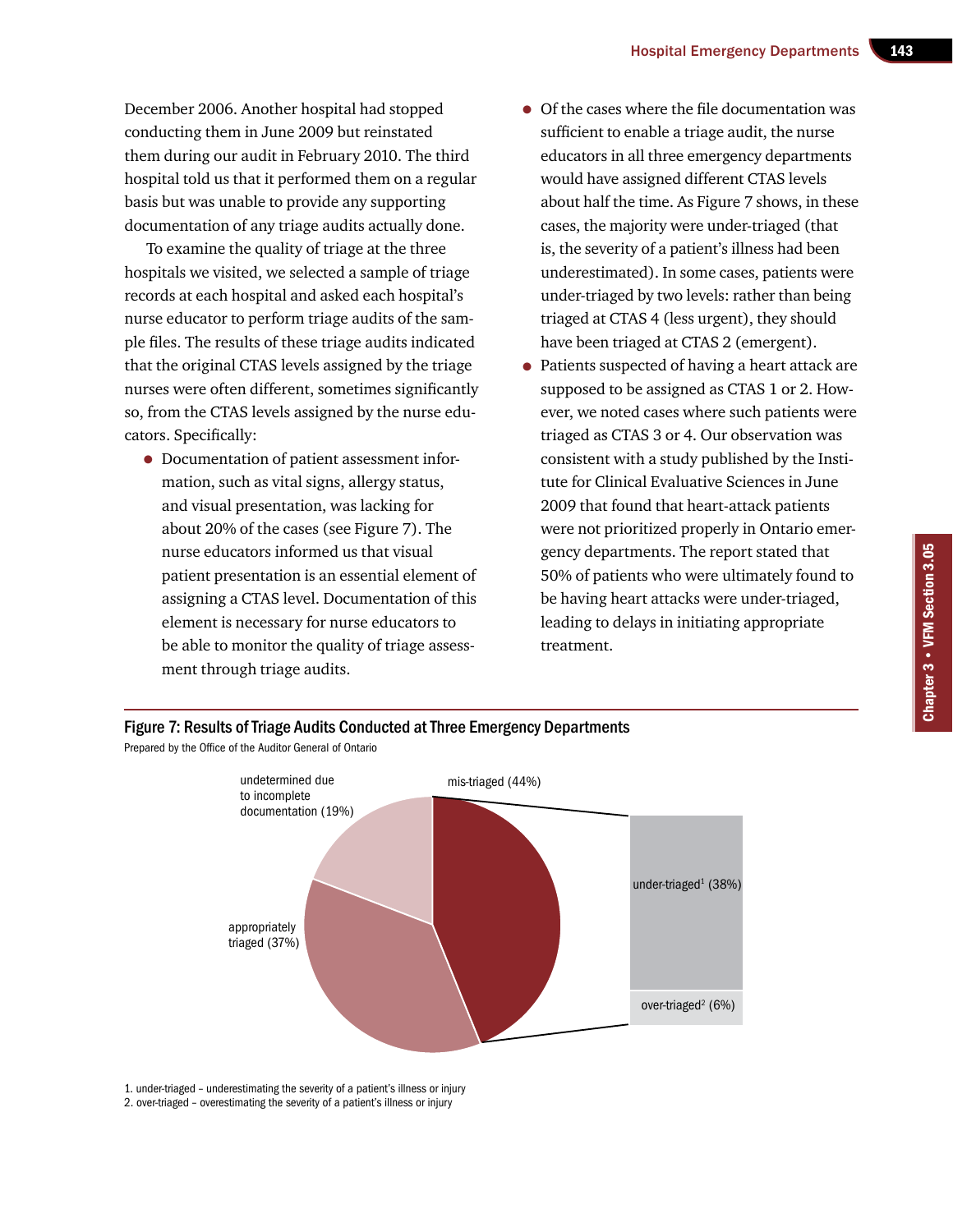December 2006. Another hospital had stopped conducting them in June 2009 but reinstated them during our audit in February 2010. The third hospital told us that it performed them on a regular basis but was unable to provide any supporting documentation of any triage audits actually done.

To examine the quality of triage at the three hospitals we visited, we selected a sample of triage records at each hospital and asked each hospital's nurse educator to perform triage audits of the sample files. The results of these triage audits indicated that the original CTAS levels assigned by the triage nurses were often different, sometimes significantly so, from the CTAS levels assigned by the nurse educators. Specifically:

- Documentation of patient assessment information, such as vital signs, allergy status, and visual presentation, was lacking for about 20% of the cases (see Figure 7). The nurse educators informed us that visual patient presentation is an essential element of assigning a CTAS level. Documentation of this element is necessary for nurse educators to be able to monitor the quality of triage assessment through triage audits.
- Of the cases where the file documentation was sufficient to enable a triage audit, the nurse educators in all three emergency departments would have assigned different CTAS levels about half the time. As Figure 7 shows, in these cases, the majority were under-triaged (that is, the severity of a patient's illness had been underestimated). In some cases, patients were under-triaged by two levels: rather than being triaged at CTAS 4 (less urgent), they should have been triaged at CTAS 2 (emergent).
- Patients suspected of having a heart attack are supposed to be assigned as CTAS 1 or 2. However, we noted cases where such patients were triaged as CTAS 3 or 4. Our observation was consistent with a study published by the Institute for Clinical Evaluative Sciences in June 2009 that found that heart-attack patients were not prioritized properly in Ontario emergency departments. The report stated that 50% of patients who were ultimately found to be having heart attacks were under-triaged, leading to delays in initiating appropriate treatment.

Chapter 3 • VFM Section 3.05

Chapter 3 • VFM Section 3.05



1. under-triaged – underestimating the severity of a patient's illness or injury 2. over-triaged – overestimating the severity of a patient's illness or injury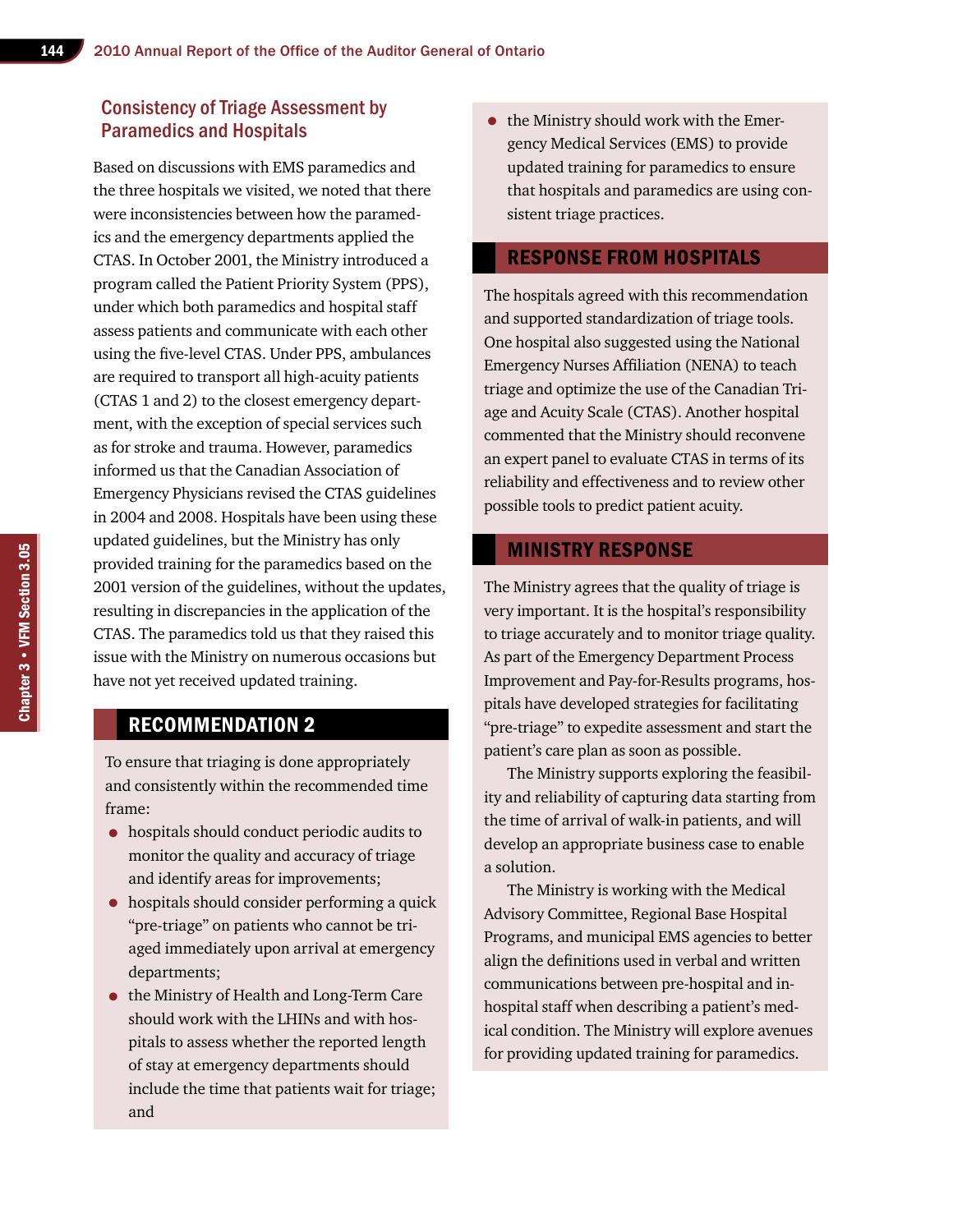## Consistency of Triage Assessment by Paramedics and Hospitals

Based on discussions with EMS paramedics and the three hospitals we visited, we noted that there were inconsistencies between how the paramedics and the emergency departments applied the CTAS. In October 2001, the Ministry introduced a program called the Patient Priority System (PPS), under which both paramedics and hospital staff assess patients and communicate with each other using the five-level CTAS. Under PPS, ambulances are required to transport all high-acuity patients (CTAS 1 and 2) to the closest emergency department, with the exception of special services such as for stroke and trauma. However, paramedics informed us that the Canadian Association of Emergency Physicians revised the CTAS guidelines in 2004 and 2008. Hospitals have been using these updated guidelines, but the Ministry has only provided training for the paramedics based on the 2001 version of the guidelines, without the updates, resulting in discrepancies in the application of the CTAS. The paramedics told us that they raised this issue with the Ministry on numerous occasions but have not yet received updated training.

## Recommendation 2

To ensure that triaging is done appropriately and consistently within the recommended time frame:

- hospitals should conduct periodic audits to monitor the quality and accuracy of triage and identify areas for improvements;
- hospitals should consider performing a quick "pre-triage" on patients who cannot be triaged immediately upon arrival at emergency departments;
- the Ministry of Health and Long-Term Care should work with the LHINs and with hospitals to assess whether the reported length of stay at emergency departments should include the time that patients wait for triage; and

• the Ministry should work with the Emergency Medical Services (EMS) to provide updated training for paramedics to ensure that hospitals and paramedics are using consistent triage practices.

#### Response from Hospitals

The hospitals agreed with this recommendation and supported standardization of triage tools. One hospital also suggested using the National Emergency Nurses Affiliation (NENA) to teach triage and optimize the use of the Canadian Triage and Acuity Scale (CTAS). Another hospital commented that the Ministry should reconvene an expert panel to evaluate CTAS in terms of its reliability and effectiveness and to review other possible tools to predict patient acuity.

## Ministry Response

The Ministry agrees that the quality of triage is very important. It is the hospital's responsibility to triage accurately and to monitor triage quality. As part of the Emergency Department Process Improvement and Pay-for-Results programs, hospitals have developed strategies for facilitating "pre-triage" to expedite assessment and start the patient's care plan as soon as possible.

The Ministry supports exploring the feasibility and reliability of capturing data starting from the time of arrival of walk-in patients, and will develop an appropriate business case to enable a solution.

The Ministry is working with the Medical Advisory Committee, Regional Base Hospital Programs, and municipal EMS agencies to better align the definitions used in verbal and written communications between pre-hospital and inhospital staff when describing a patient's medical condition. The Ministry will explore avenues for providing updated training for paramedics.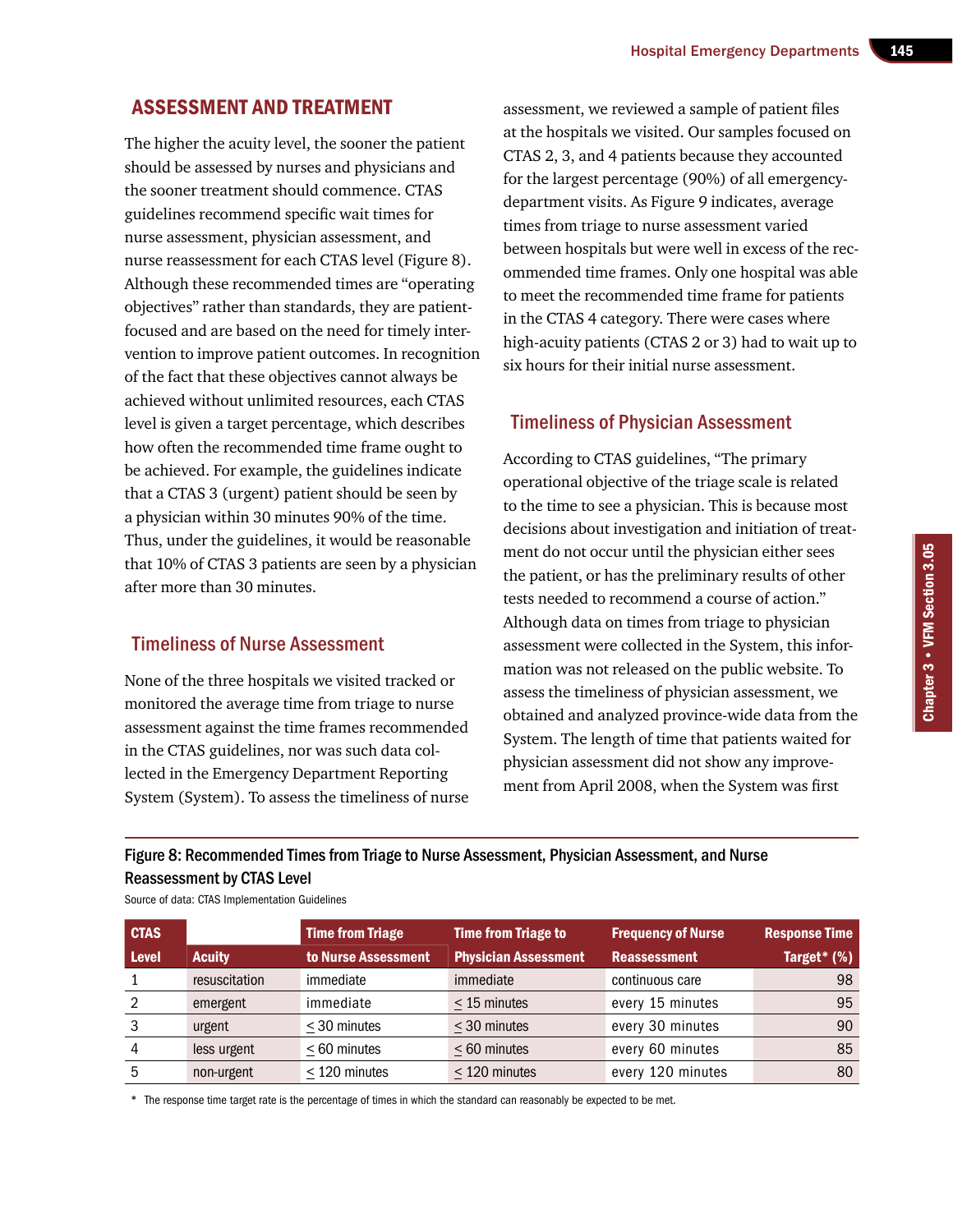## Assessment and Treatment

The higher the acuity level, the sooner the patient should be assessed by nurses and physicians and the sooner treatment should commence. CTAS guidelines recommend specific wait times for nurse assessment, physician assessment, and nurse reassessment for each CTAS level (Figure 8). Although these recommended times are "operating objectives" rather than standards, they are patientfocused and are based on the need for timely intervention to improve patient outcomes. In recognition of the fact that these objectives cannot always be achieved without unlimited resources, each CTAS level is given a target percentage, which describes how often the recommended time frame ought to be achieved. For example, the guidelines indicate that a CTAS 3 (urgent) patient should be seen by a physician within 30 minutes 90% of the time. Thus, under the guidelines, it would be reasonable that 10% of CTAS 3 patients are seen by a physician after more than 30 minutes.

## Timeliness of Nurse Assessment

None of the three hospitals we visited tracked or monitored the average time from triage to nurse assessment against the time frames recommended in the CTAS guidelines, nor was such data collected in the Emergency Department Reporting System (System). To assess the timeliness of nurse

assessment, we reviewed a sample of patient files at the hospitals we visited. Our samples focused on CTAS 2, 3, and 4 patients because they accounted for the largest percentage (90%) of all emergencydepartment visits. As Figure 9 indicates, average times from triage to nurse assessment varied between hospitals but were well in excess of the recommended time frames. Only one hospital was able to meet the recommended time frame for patients in the CTAS 4 category. There were cases where high-acuity patients (CTAS 2 or 3) had to wait up to six hours for their initial nurse assessment.

## Timeliness of Physician Assessment

According to CTAS guidelines, "The primary operational objective of the triage scale is related to the time to see a physician. This is because most decisions about investigation and initiation of treatment do not occur until the physician either sees the patient, or has the preliminary results of other tests needed to recommend a course of action." Although data on times from triage to physician assessment were collected in the System, this information was not released on the public website. To assess the timeliness of physician assessment, we obtained and analyzed province-wide data from the System. The length of time that patients waited for physician assessment did not show any improvement from April 2008, when the System was first

## Figure 8: Recommended Times from Triage to Nurse Assessment, Physician Assessment, and Nurse Reassessment by CTAS Level

| <b>CTAS</b>  |               | <b>Time from Triage</b> | <b>Time from Triage to</b>  | <b>Frequency of Nurse</b> | <b>Response Time</b> |
|--------------|---------------|-------------------------|-----------------------------|---------------------------|----------------------|
| <b>Level</b> | <b>Acuity</b> | to Nurse Assessment     | <b>Physician Assessment</b> | <b>Reassessment</b>       | Target* $(%)$        |
|              | resuscitation | immediate               | immediate                   | continuous care           | 98                   |
| 2            | emergent      | immediate               | $<$ 15 minutes              | every 15 minutes          | 95                   |
| 3            | urgent        | $\leq$ 30 minutes       | $\leq$ 30 minutes           | every 30 minutes          | 90                   |
|              | less urgent   | < 60 minutes            | < 60 minutes                | every 60 minutes          | 85                   |
| 5            | non-urgent    | $\leq$ 120 minutes      | $\leq$ 120 minutes          | every 120 minutes         | 80                   |

Source of data: CTAS Implementation Guidelines

\* The response time target rate is the percentage of times in which the standard can reasonably be expected to be met.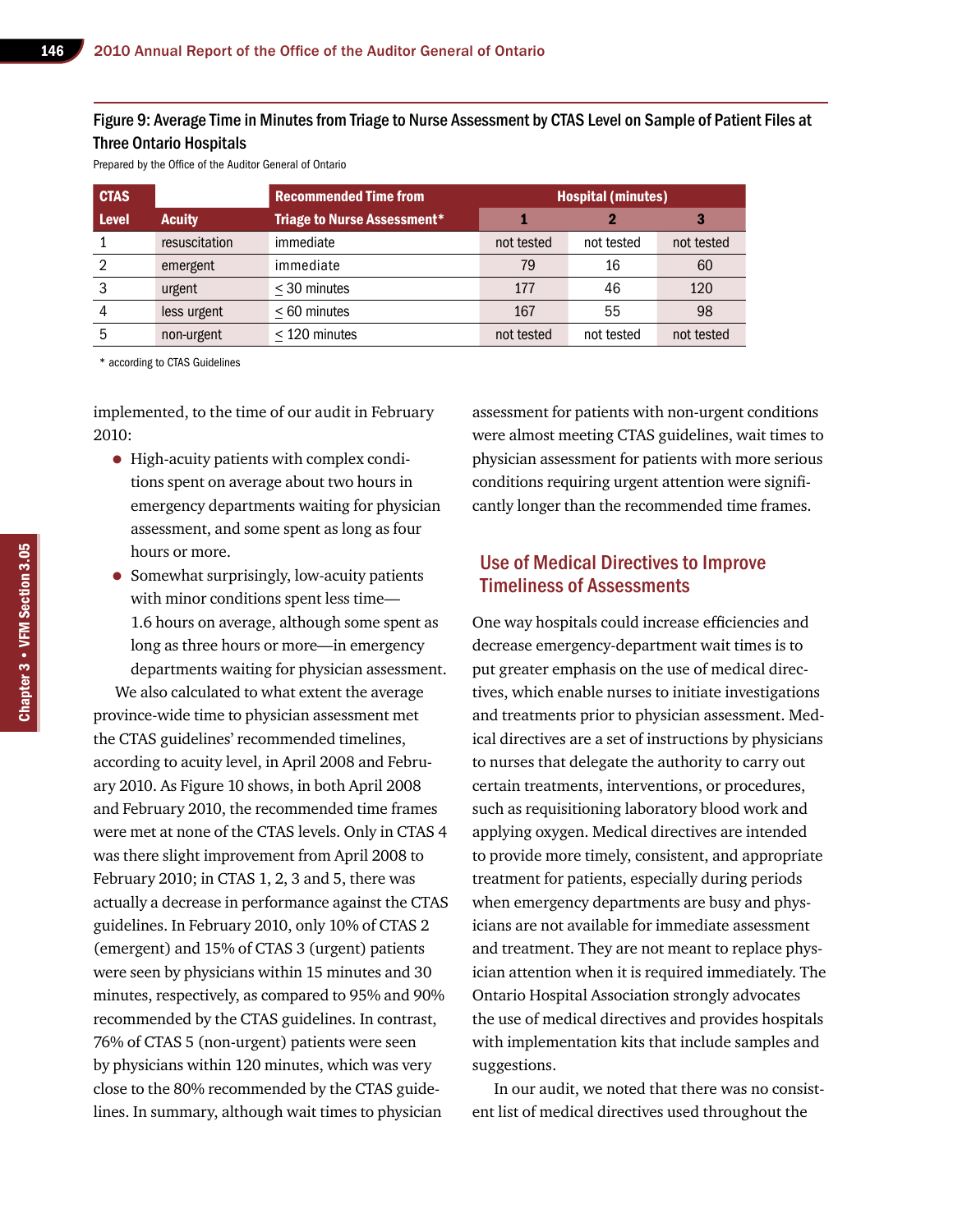#### Figure 9: Average Time in Minutes from Triage to Nurse Assessment by CTAS Level on Sample of Patient Files at Three Ontario Hospitals

Prepared by the Office of the Auditor General of Ontario

| <b>CTAS</b>  |               | <b>Recommended Time from</b>       | <b>Hospital (minutes)</b> |            |            |
|--------------|---------------|------------------------------------|---------------------------|------------|------------|
| <b>Level</b> | <b>Acuity</b> | <b>Triage to Nurse Assessment*</b> |                           |            |            |
|              | resuscitation | immediate                          | not tested                | not tested | not tested |
| 2            | emergent      | immediate                          | 79                        | 16         | 60         |
| 3            | urgent        | $<$ 30 minutes                     | 177                       | 46         | 120        |
| 4            | less urgent   | < 60 minutes                       | 167                       | 55         | 98         |
| 5            | non-urgent    | $<$ 120 minutes                    | not tested                | not tested | not tested |

\* according to CTAS Guidelines

implemented, to the time of our audit in February 2010:

- High-acuity patients with complex conditions spent on average about two hours in emergency departments waiting for physician assessment, and some spent as long as four hours or more.
- Somewhat surprisingly, low-acuity patients with minor conditions spent less time— 1.6 hours on average, although some spent as long as three hours or more—in emergency departments waiting for physician assessment.

We also calculated to what extent the average province-wide time to physician assessment met the CTAS guidelines' recommended timelines, according to acuity level, in April 2008 and February 2010. As Figure 10 shows, in both April 2008 and February 2010, the recommended time frames were met at none of the CTAS levels. Only in CTAS 4 was there slight improvement from April 2008 to February 2010; in CTAS 1, 2, 3 and 5, there was actually a decrease in performance against the CTAS guidelines. In February 2010, only 10% of CTAS 2 (emergent) and 15% of CTAS 3 (urgent) patients were seen by physicians within 15 minutes and 30 minutes, respectively, as compared to 95% and 90% recommended by the CTAS guidelines. In contrast, 76% of CTAS 5 (non-urgent) patients were seen by physicians within 120 minutes, which was very close to the 80% recommended by the CTAS guidelines. In summary, although wait times to physician

assessment for patients with non-urgent conditions were almost meeting CTAS guidelines, wait times to physician assessment for patients with more serious conditions requiring urgent attention were significantly longer than the recommended time frames.

## Use of Medical Directives to Improve Timeliness of Assessments

One way hospitals could increase efficiencies and decrease emergency-department wait times is to put greater emphasis on the use of medical directives, which enable nurses to initiate investigations and treatments prior to physician assessment. Medical directives are a set of instructions by physicians to nurses that delegate the authority to carry out certain treatments, interventions, or procedures, such as requisitioning laboratory blood work and applying oxygen. Medical directives are intended to provide more timely, consistent, and appropriate treatment for patients, especially during periods when emergency departments are busy and physicians are not available for immediate assessment and treatment. They are not meant to replace physician attention when it is required immediately. The Ontario Hospital Association strongly advocates the use of medical directives and provides hospitals with implementation kits that include samples and suggestions.

In our audit, we noted that there was no consistent list of medical directives used throughout the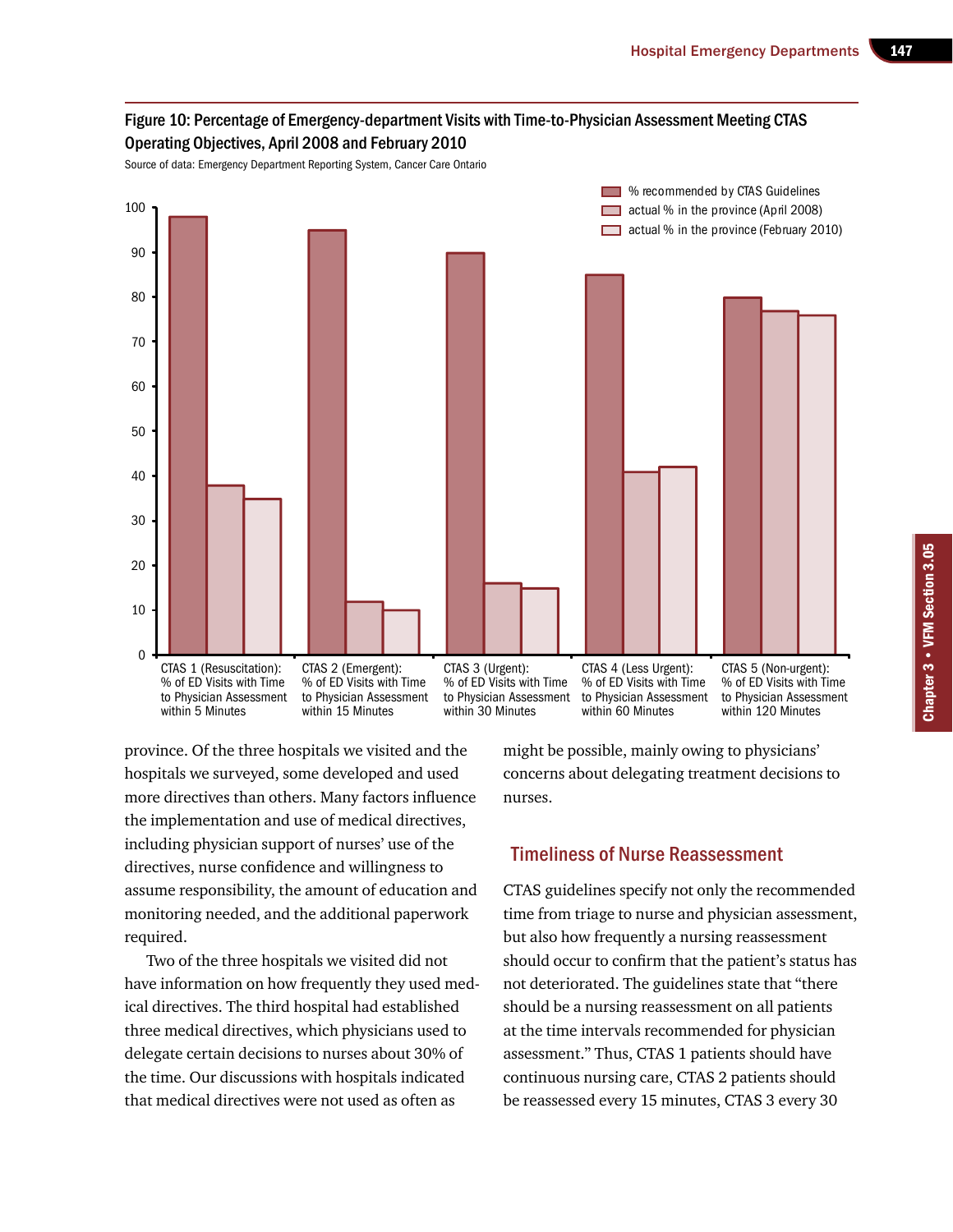

province. Of the three hospitals we visited and the hospitals we surveyed, some developed and used more directives than others. Many factors influence the implementation and use of medical directives, including physician support of nurses' use of the directives, nurse confidence and willingness to assume responsibility, the amount of education and monitoring needed, and the additional paperwork required.

Two of the three hospitals we visited did not have information on how frequently they used medical directives. The third hospital had established three medical directives, which physicians used to delegate certain decisions to nurses about 30% of the time. Our discussions with hospitals indicated that medical directives were not used as often as

might be possible, mainly owing to physicians' concerns about delegating treatment decisions to nurses.

## Timeliness of Nurse Reassessment

CTAS guidelines specify not only the recommended time from triage to nurse and physician assessment, but also how frequently a nursing reassessment should occur to confirm that the patient's status has not deteriorated. The guidelines state that "there should be a nursing reassessment on all patients at the time intervals recommended for physician assessment." Thus, CTAS 1 patients should have continuous nursing care, CTAS 2 patients should be reassessed every 15 minutes, CTAS 3 every 30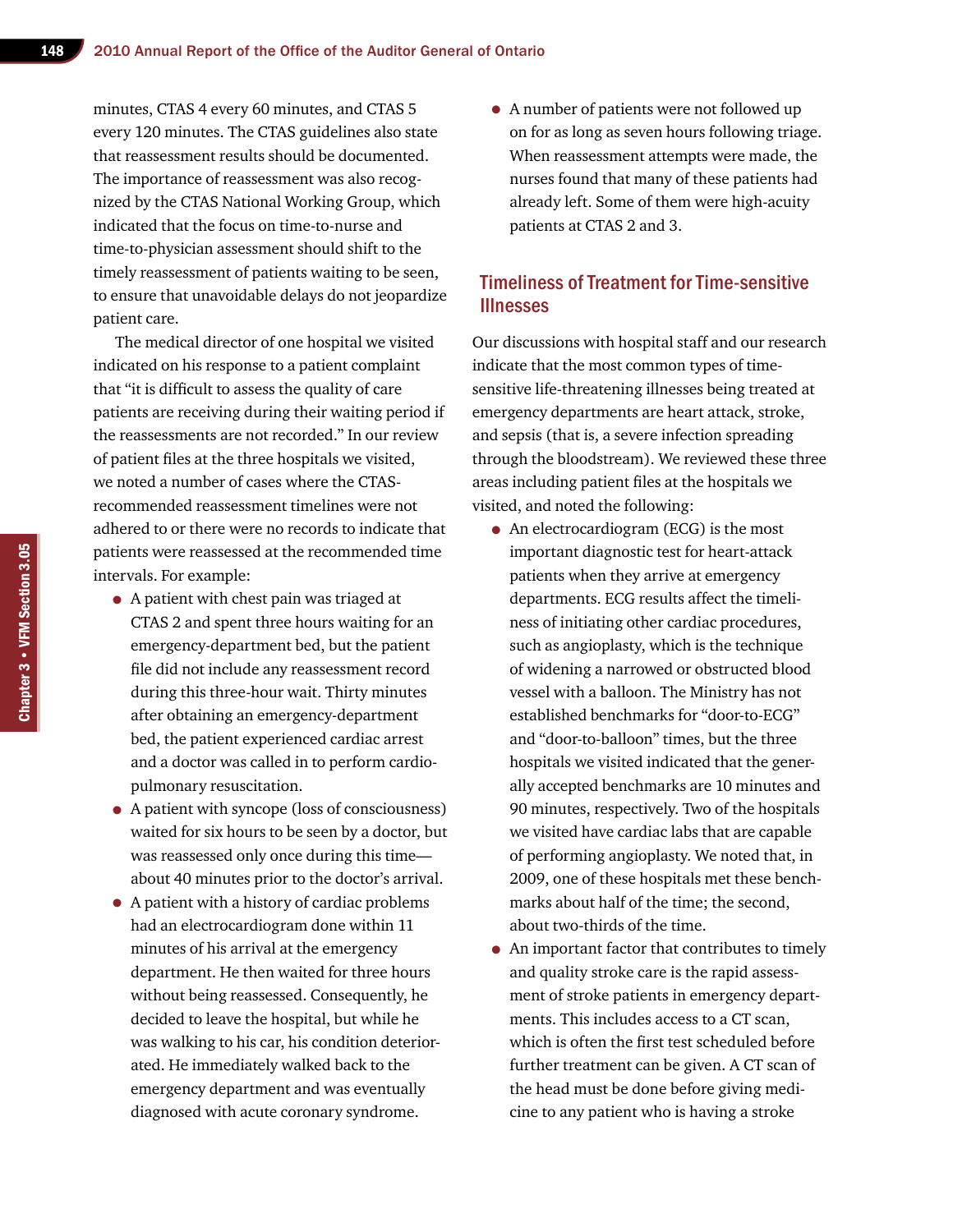minutes, CTAS 4 every 60 minutes, and CTAS 5 every 120 minutes. The CTAS guidelines also state that reassessment results should be documented. The importance of reassessment was also recognized by the CTAS National Working Group, which indicated that the focus on time-to-nurse and time-to-physician assessment should shift to the timely reassessment of patients waiting to be seen, to ensure that unavoidable delays do not jeopardize patient care.

The medical director of one hospital we visited indicated on his response to a patient complaint that "it is difficult to assess the quality of care patients are receiving during their waiting period if the reassessments are not recorded." In our review of patient files at the three hospitals we visited, we noted a number of cases where the CTASrecommended reassessment timelines were not adhered to or there were no records to indicate that patients were reassessed at the recommended time intervals. For example:

- A patient with chest pain was triaged at CTAS 2 and spent three hours waiting for an emergency-department bed, but the patient file did not include any reassessment record during this three-hour wait. Thirty minutes after obtaining an emergency-department bed, the patient experienced cardiac arrest and a doctor was called in to perform cardiopulmonary resuscitation.
- A patient with syncope (loss of consciousness) waited for six hours to be seen by a doctor, but was reassessed only once during this time about 40 minutes prior to the doctor's arrival.
- A patient with a history of cardiac problems had an electrocardiogram done within 11 minutes of his arrival at the emergency department. He then waited for three hours without being reassessed. Consequently, he decided to leave the hospital, but while he was walking to his car, his condition deteriorated. He immediately walked back to the emergency department and was eventually diagnosed with acute coronary syndrome.

• A number of patients were not followed up on for as long as seven hours following triage. When reassessment attempts were made, the nurses found that many of these patients had already left. Some of them were high-acuity patients at CTAS 2 and 3.

## Timeliness of Treatment for Time-sensitive **Illnesses**

Our discussions with hospital staff and our research indicate that the most common types of timesensitive life-threatening illnesses being treated at emergency departments are heart attack, stroke, and sepsis (that is, a severe infection spreading through the bloodstream). We reviewed these three areas including patient files at the hospitals we visited, and noted the following:

- An electrocardiogram (ECG) is the most important diagnostic test for heart-attack patients when they arrive at emergency departments. ECG results affect the timeliness of initiating other cardiac procedures, such as angioplasty, which is the technique of widening a narrowed or obstructed blood vessel with a balloon. The Ministry has not established benchmarks for "door-to-ECG" and "door-to-balloon" times, but the three hospitals we visited indicated that the generally accepted benchmarks are 10 minutes and 90 minutes, respectively. Two of the hospitals we visited have cardiac labs that are capable of performing angioplasty. We noted that, in 2009, one of these hospitals met these benchmarks about half of the time; the second, about two-thirds of the time.
- An important factor that contributes to timely and quality stroke care is the rapid assessment of stroke patients in emergency departments. This includes access to a CT scan, which is often the first test scheduled before further treatment can be given. A CT scan of the head must be done before giving medicine to any patient who is having a stroke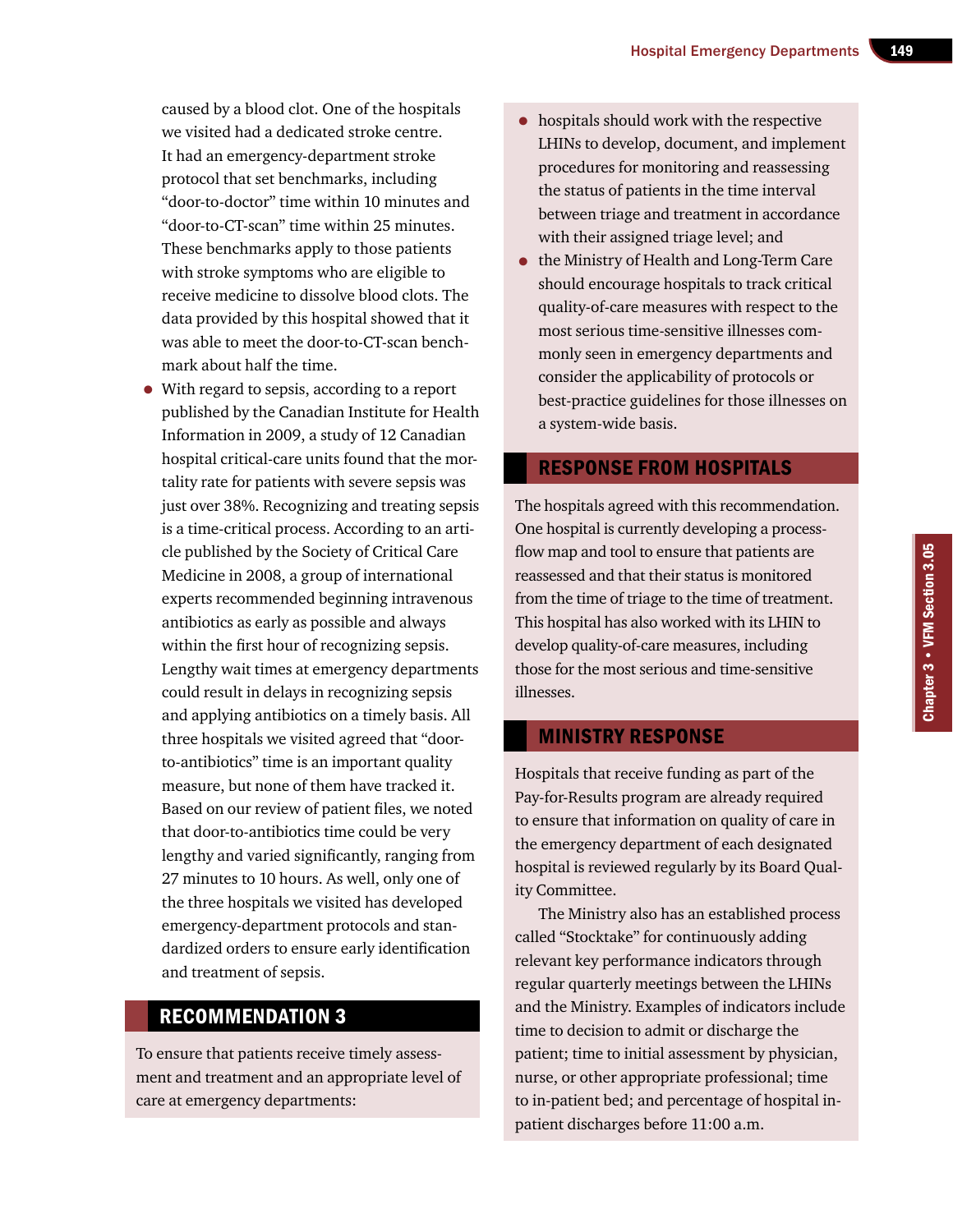caused by a blood clot. One of the hospitals we visited had a dedicated stroke centre. It had an emergency-department stroke protocol that set benchmarks, including "door-to-doctor" time within 10 minutes and "door-to-CT-scan" time within 25 minutes. These benchmarks apply to those patients with stroke symptoms who are eligible to receive medicine to dissolve blood clots. The data provided by this hospital showed that it was able to meet the door-to-CT-scan benchmark about half the time.

• With regard to sepsis, according to a report published by the Canadian Institute for Health Information in 2009, a study of 12 Canadian hospital critical-care units found that the mortality rate for patients with severe sepsis was just over 38%. Recognizing and treating sepsis is a time-critical process. According to an article published by the Society of Critical Care Medicine in 2008, a group of international experts recommended beginning intravenous antibiotics as early as possible and always within the first hour of recognizing sepsis. Lengthy wait times at emergency departments could result in delays in recognizing sepsis and applying antibiotics on a timely basis. All three hospitals we visited agreed that "doorto-antibiotics" time is an important quality measure, but none of them have tracked it. Based on our review of patient files, we noted that door-to-antibiotics time could be very lengthy and varied significantly, ranging from 27 minutes to 10 hours. As well, only one of the three hospitals we visited has developed emergency-department protocols and standardized orders to ensure early identification and treatment of sepsis.

## Recommendation 3

To ensure that patients receive timely assessment and treatment and an appropriate level of care at emergency departments:

- hospitals should work with the respective LHINs to develop, document, and implement procedures for monitoring and reassessing the status of patients in the time interval between triage and treatment in accordance with their assigned triage level; and
- the Ministry of Health and Long-Term Care should encourage hospitals to track critical quality-of-care measures with respect to the most serious time-sensitive illnesses commonly seen in emergency departments and consider the applicability of protocols or best-practice guidelines for those illnesses on a system-wide basis.

## Response from Hospitals

The hospitals agreed with this recommendation. One hospital is currently developing a processflow map and tool to ensure that patients are reassessed and that their status is monitored from the time of triage to the time of treatment. This hospital has also worked with its LHIN to develop quality-of-care measures, including those for the most serious and time-sensitive illnesses.

## Ministry Response

Hospitals that receive funding as part of the Pay-for-Results program are already required to ensure that information on quality of care in the emergency department of each designated hospital is reviewed regularly by its Board Quality Committee.

The Ministry also has an established process called "Stocktake" for continuously adding relevant key performance indicators through regular quarterly meetings between the LHINs and the Ministry. Examples of indicators include time to decision to admit or discharge the patient; time to initial assessment by physician, nurse, or other appropriate professional; time to in-patient bed; and percentage of hospital inpatient discharges before 11:00 a.m.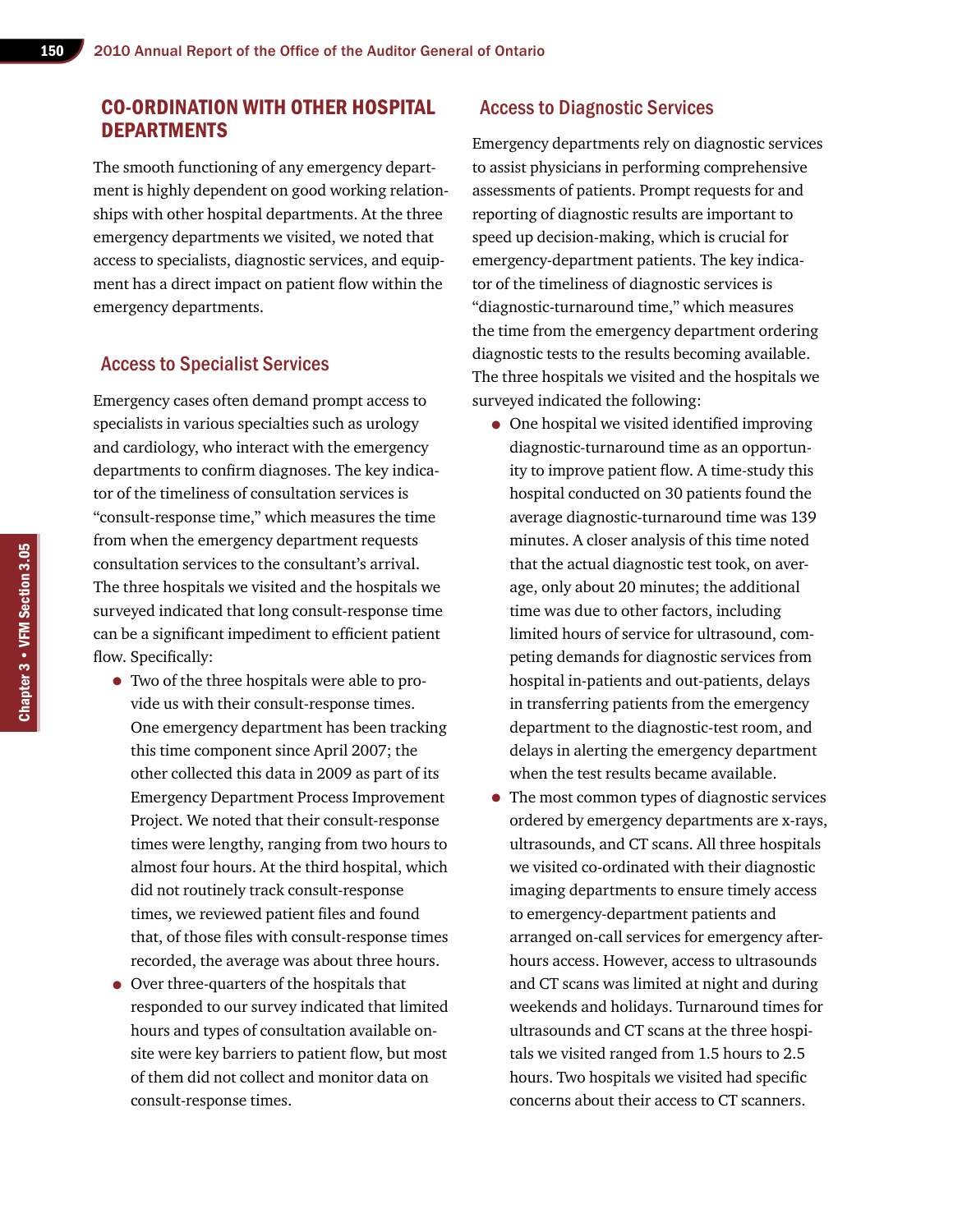## Co-ordination with Other Hospital **DEPARTMENTS**

The smooth functioning of any emergency department is highly dependent on good working relationships with other hospital departments. At the three emergency departments we visited, we noted that access to specialists, diagnostic services, and equipment has a direct impact on patient flow within the emergency departments.

#### Access to Specialist Services

Emergency cases often demand prompt access to specialists in various specialties such as urology and cardiology, who interact with the emergency departments to confirm diagnoses. The key indicator of the timeliness of consultation services is "consult-response time," which measures the time from when the emergency department requests consultation services to the consultant's arrival. The three hospitals we visited and the hospitals we surveyed indicated that long consult-response time can be a significant impediment to efficient patient flow. Specifically:

- Two of the three hospitals were able to provide us with their consult-response times. One emergency department has been tracking this time component since April 2007; the other collected this data in 2009 as part of its Emergency Department Process Improvement Project. We noted that their consult-response times were lengthy, ranging from two hours to almost four hours. At the third hospital, which did not routinely track consult-response times, we reviewed patient files and found that, of those files with consult-response times recorded, the average was about three hours.
- Over three-quarters of the hospitals that responded to our survey indicated that limited hours and types of consultation available onsite were key barriers to patient flow, but most of them did not collect and monitor data on consult-response times.

#### Access to Diagnostic Services

Emergency departments rely on diagnostic services to assist physicians in performing comprehensive assessments of patients. Prompt requests for and reporting of diagnostic results are important to speed up decision-making, which is crucial for emergency-department patients. The key indicator of the timeliness of diagnostic services is "diagnostic-turnaround time," which measures the time from the emergency department ordering diagnostic tests to the results becoming available. The three hospitals we visited and the hospitals we surveyed indicated the following:

- One hospital we visited identified improving diagnostic-turnaround time as an opportunity to improve patient flow. A time-study this hospital conducted on 30 patients found the average diagnostic-turnaround time was 139 minutes. A closer analysis of this time noted that the actual diagnostic test took, on average, only about 20 minutes; the additional time was due to other factors, including limited hours of service for ultrasound, competing demands for diagnostic services from hospital in-patients and out-patients, delays in transferring patients from the emergency department to the diagnostic-test room, and delays in alerting the emergency department when the test results became available.
- The most common types of diagnostic services ordered by emergency departments are x-rays, ultrasounds, and CT scans. All three hospitals we visited co-ordinated with their diagnostic imaging departments to ensure timely access to emergency-department patients and arranged on-call services for emergency afterhours access. However, access to ultrasounds and CT scans was limited at night and during weekends and holidays. Turnaround times for ultrasounds and CT scans at the three hospitals we visited ranged from 1.5 hours to 2.5 hours. Two hospitals we visited had specific concerns about their access to CT scanners.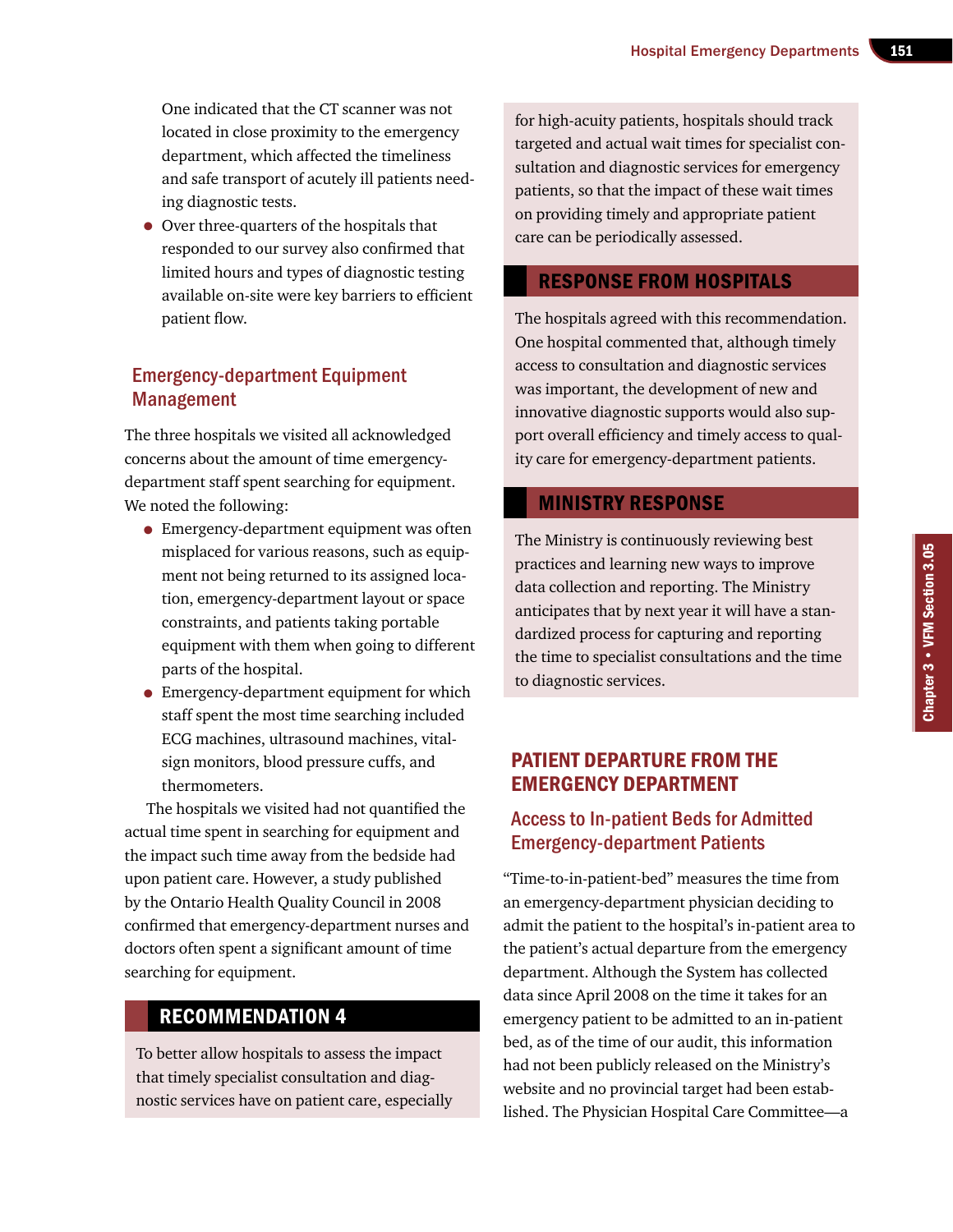One indicated that the CT scanner was not located in close proximity to the emergency department, which affected the timeliness and safe transport of acutely ill patients needing diagnostic tests.

• Over three-quarters of the hospitals that responded to our survey also confirmed that limited hours and types of diagnostic testing available on-site were key barriers to efficient patient flow.

## Emergency-department Equipment Management

The three hospitals we visited all acknowledged concerns about the amount of time emergencydepartment staff spent searching for equipment. We noted the following:

- Emergency-department equipment was often misplaced for various reasons, such as equipment not being returned to its assigned location, emergency-department layout or space constraints, and patients taking portable equipment with them when going to different parts of the hospital.
- Emergency-department equipment for which staff spent the most time searching included ECG machines, ultrasound machines, vitalsign monitors, blood pressure cuffs, and thermometers.

The hospitals we visited had not quantified the actual time spent in searching for equipment and the impact such time away from the bedside had upon patient care. However, a study published by the Ontario Health Quality Council in 2008 confirmed that emergency-department nurses and doctors often spent a significant amount of time searching for equipment.

## Recommendation 4

To better allow hospitals to assess the impact that timely specialist consultation and diagnostic services have on patient care, especially for high-acuity patients, hospitals should track targeted and actual wait times for specialist consultation and diagnostic services for emergency patients, so that the impact of these wait times on providing timely and appropriate patient care can be periodically assessed.

## Response from Hospitals

The hospitals agreed with this recommendation. One hospital commented that, although timely access to consultation and diagnostic services was important, the development of new and innovative diagnostic supports would also support overall efficiency and timely access to quality care for emergency-department patients.

#### Ministry Response

The Ministry is continuously reviewing best practices and learning new ways to improve data collection and reporting. The Ministry anticipates that by next year it will have a standardized process for capturing and reporting the time to specialist consultations and the time to diagnostic services.

## Patient Departure from the Emergency Department

## Access to In-patient Beds for Admitted Emergency-department Patients

"Time-to-in-patient-bed" measures the time from an emergency-department physician deciding to admit the patient to the hospital's in-patient area to the patient's actual departure from the emergency department. Although the System has collected data since April 2008 on the time it takes for an emergency patient to be admitted to an in-patient bed, as of the time of our audit, this information had not been publicly released on the Ministry's website and no provincial target had been established. The Physician Hospital Care Committee—a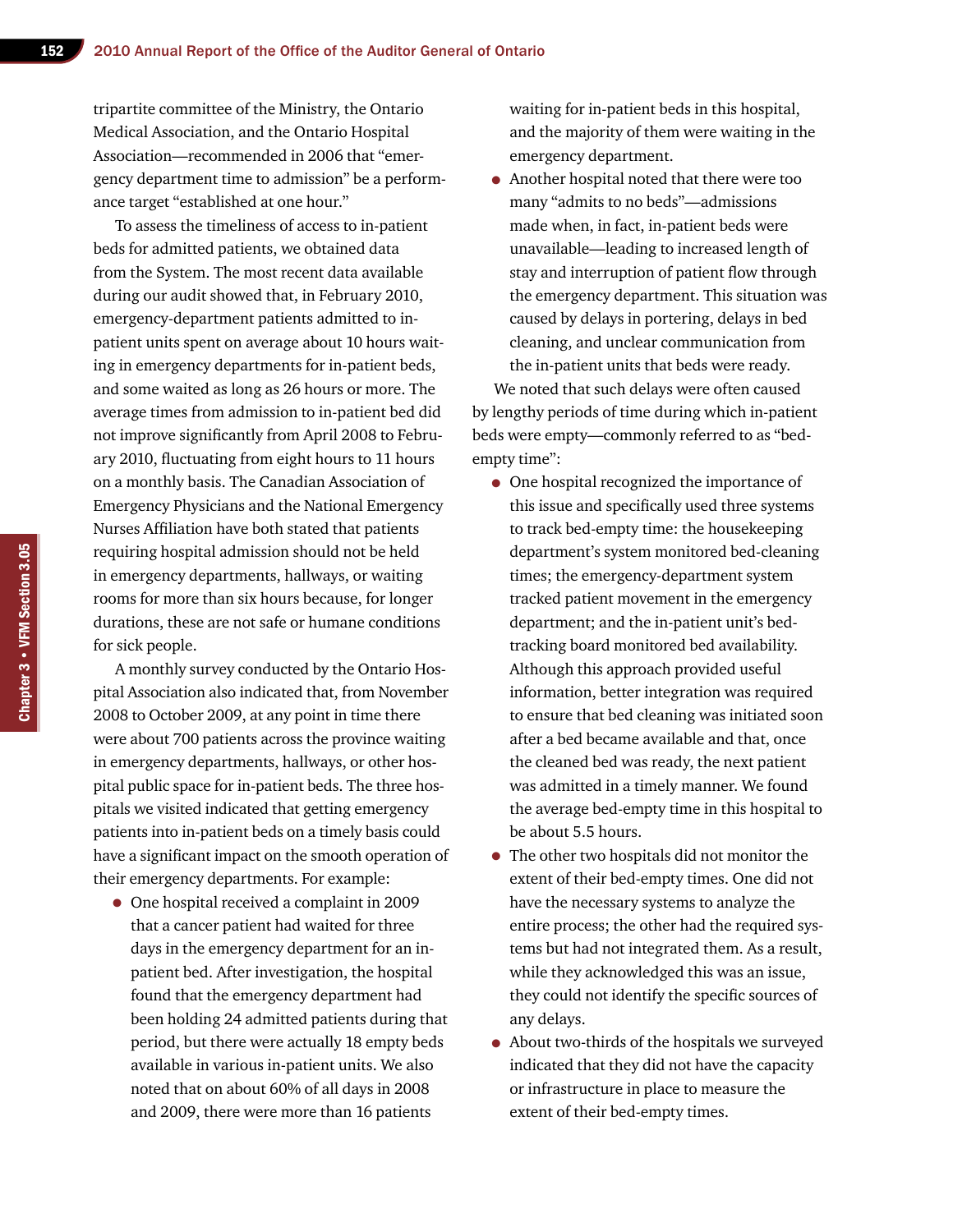tripartite committee of the Ministry, the Ontario Medical Association, and the Ontario Hospital Association—recommended in 2006 that "emergency department time to admission" be a performance target "established at one hour."

To assess the timeliness of access to in-patient beds for admitted patients, we obtained data from the System. The most recent data available during our audit showed that, in February 2010, emergency-department patients admitted to inpatient units spent on average about 10 hours waiting in emergency departments for in-patient beds, and some waited as long as 26 hours or more. The average times from admission to in-patient bed did not improve significantly from April 2008 to February 2010, fluctuating from eight hours to 11 hours on a monthly basis. The Canadian Association of Emergency Physicians and the National Emergency Nurses Affiliation have both stated that patients requiring hospital admission should not be held in emergency departments, hallways, or waiting rooms for more than six hours because, for longer durations, these are not safe or humane conditions for sick people.

A monthly survey conducted by the Ontario Hospital Association also indicated that, from November 2008 to October 2009, at any point in time there were about 700 patients across the province waiting in emergency departments, hallways, or other hospital public space for in-patient beds. The three hospitals we visited indicated that getting emergency patients into in-patient beds on a timely basis could have a significant impact on the smooth operation of their emergency departments. For example:

• One hospital received a complaint in 2009 that a cancer patient had waited for three days in the emergency department for an inpatient bed. After investigation, the hospital found that the emergency department had been holding 24 admitted patients during that period, but there were actually 18 empty beds available in various in-patient units. We also noted that on about 60% of all days in 2008 and 2009, there were more than 16 patients

waiting for in-patient beds in this hospital, and the majority of them were waiting in the emergency department.

• Another hospital noted that there were too many "admits to no beds"—admissions made when, in fact, in-patient beds were unavailable—leading to increased length of stay and interruption of patient flow through the emergency department. This situation was caused by delays in portering, delays in bed cleaning, and unclear communication from the in-patient units that beds were ready.

We noted that such delays were often caused by lengthy periods of time during which in-patient beds were empty—commonly referred to as "bedempty time":

- One hospital recognized the importance of this issue and specifically used three systems to track bed-empty time: the housekeeping department's system monitored bed-cleaning times; the emergency-department system tracked patient movement in the emergency department; and the in-patient unit's bedtracking board monitored bed availability. Although this approach provided useful information, better integration was required to ensure that bed cleaning was initiated soon after a bed became available and that, once the cleaned bed was ready, the next patient was admitted in a timely manner. We found the average bed-empty time in this hospital to be about 5.5 hours.
- The other two hospitals did not monitor the extent of their bed-empty times. One did not have the necessary systems to analyze the entire process; the other had the required systems but had not integrated them. As a result, while they acknowledged this was an issue, they could not identify the specific sources of any delays.
- About two-thirds of the hospitals we surveyed indicated that they did not have the capacity or infrastructure in place to measure the extent of their bed-empty times.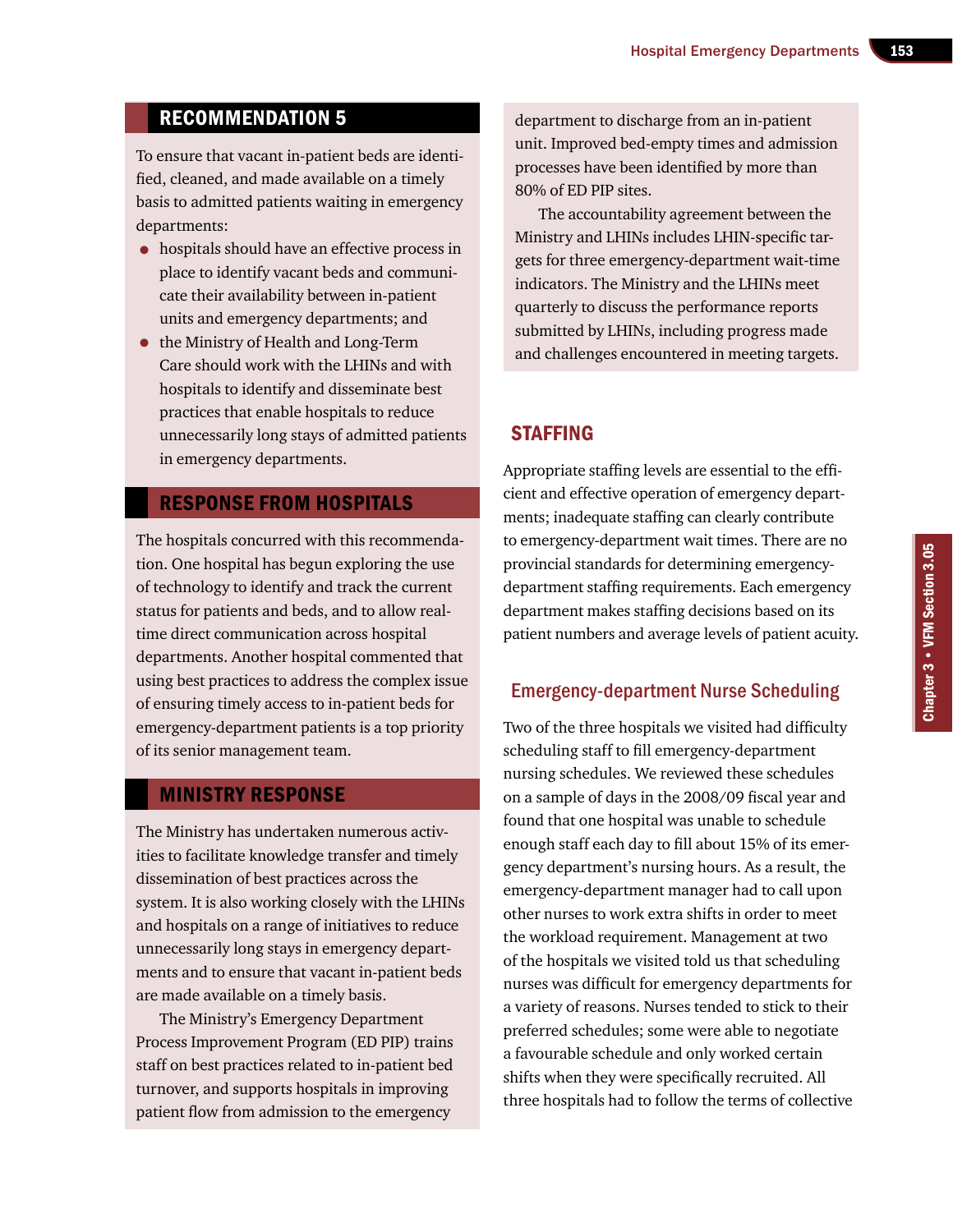## Recommendation 5

To ensure that vacant in-patient beds are identified, cleaned, and made available on a timely basis to admitted patients waiting in emergency departments:

- hospitals should have an effective process in place to identify vacant beds and communicate their availability between in-patient units and emergency departments; and
- the Ministry of Health and Long-Term Care should work with the LHINs and with hospitals to identify and disseminate best practices that enable hospitals to reduce unnecessarily long stays of admitted patients in emergency departments.

#### Response from Hospitals

The hospitals concurred with this recommendation. One hospital has begun exploring the use of technology to identify and track the current status for patients and beds, and to allow realtime direct communication across hospital departments. Another hospital commented that using best practices to address the complex issue of ensuring timely access to in-patient beds for emergency-department patients is a top priority of its senior management team.

#### Ministry Response

The Ministry has undertaken numerous activities to facilitate knowledge transfer and timely dissemination of best practices across the system. It is also working closely with the LHINs and hospitals on a range of initiatives to reduce unnecessarily long stays in emergency departments and to ensure that vacant in-patient beds are made available on a timely basis.

The Ministry's Emergency Department Process Improvement Program (ED PIP) trains staff on best practices related to in-patient bed turnover, and supports hospitals in improving patient flow from admission to the emergency

department to discharge from an in-patient unit. Improved bed-empty times and admission processes have been identified by more than 80% of ED PIP sites.

The accountability agreement between the Ministry and LHINs includes LHIN-specific targets for three emergency-department wait-time indicators. The Ministry and the LHINs meet quarterly to discuss the performance reports submitted by LHINs, including progress made and challenges encountered in meeting targets.

## **STAFFING**

Appropriate staffing levels are essential to the efficient and effective operation of emergency departments; inadequate staffing can clearly contribute to emergency-department wait times. There are no provincial standards for determining emergencydepartment staffing requirements. Each emergency department makes staffing decisions based on its patient numbers and average levels of patient acuity.

## Emergency-department Nurse Scheduling

Two of the three hospitals we visited had difficulty scheduling staff to fill emergency-department nursing schedules. We reviewed these schedules on a sample of days in the 2008/09 fiscal year and found that one hospital was unable to schedule enough staff each day to fill about 15% of its emergency department's nursing hours. As a result, the emergency-department manager had to call upon other nurses to work extra shifts in order to meet the workload requirement. Management at two of the hospitals we visited told us that scheduling nurses was difficult for emergency departments for a variety of reasons. Nurses tended to stick to their preferred schedules; some were able to negotiate a favourable schedule and only worked certain shifts when they were specifically recruited. All three hospitals had to follow the terms of collective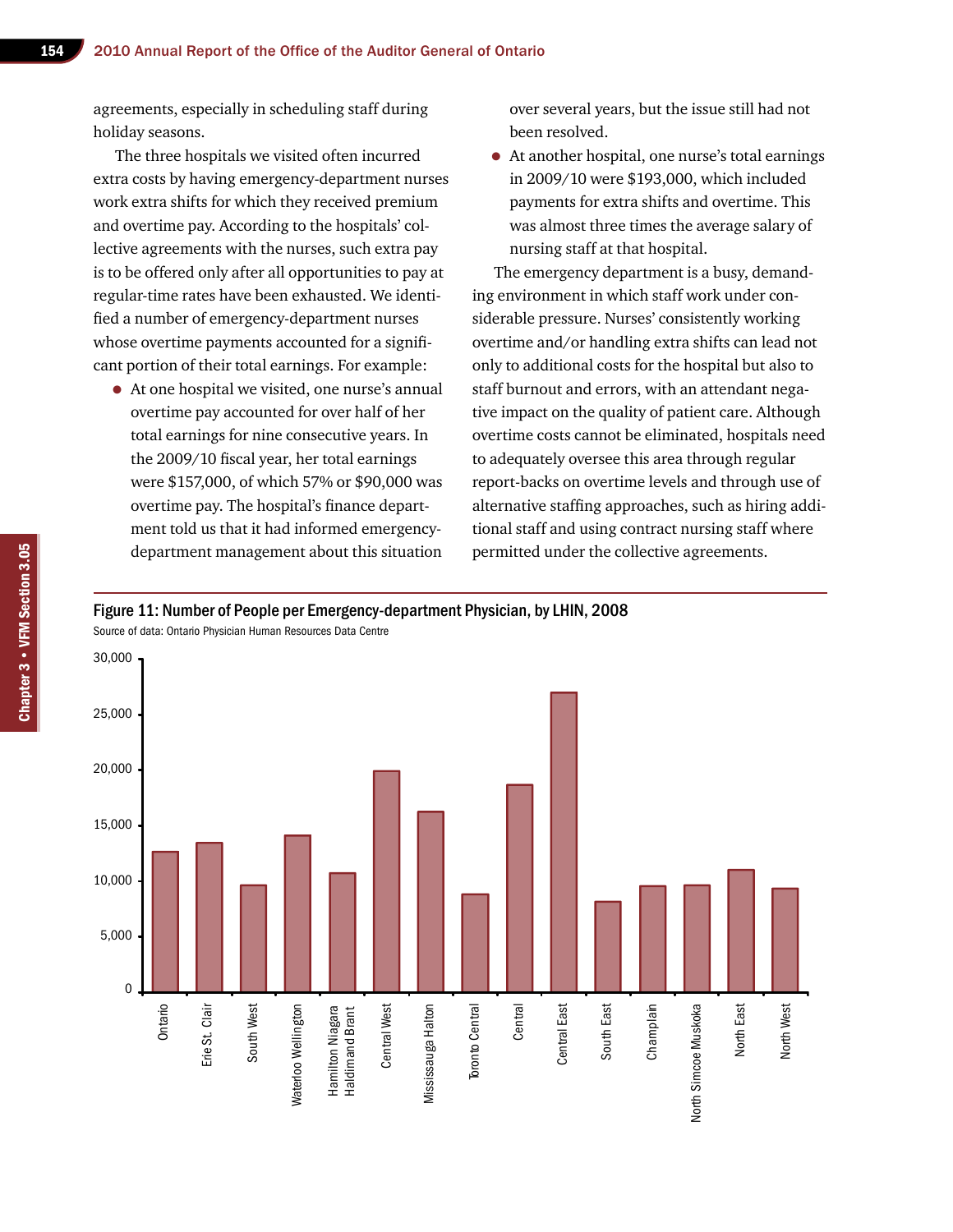agreements, especially in scheduling staff during holiday seasons.

The three hospitals we visited often incurred extra costs by having emergency-department nurses work extra shifts for which they received premium and overtime pay. According to the hospitals' collective agreements with the nurses, such extra pay is to be offered only after all opportunities to pay at regular-time rates have been exhausted. We identified a number of emergency-department nurses whose overtime payments accounted for a significant portion of their total earnings. For example:

• At one hospital we visited, one nurse's annual overtime pay accounted for over half of her total earnings for nine consecutive years. In the 2009/10 fiscal year, her total earnings were \$157,000, of which 57% or \$90,000 was overtime pay. The hospital's finance department told us that it had informed emergencydepartment management about this situation

over several years, but the issue still had not been resolved.

• At another hospital, one nurse's total earnings in 2009/10 were \$193,000, which included payments for extra shifts and overtime. This was almost three times the average salary of nursing staff at that hospital.

The emergency department is a busy, demanding environment in which staff work under considerable pressure. Nurses' consistently working overtime and/or handling extra shifts can lead not only to additional costs for the hospital but also to staff burnout and errors, with an attendant negative impact on the quality of patient care. Although overtime costs cannot be eliminated, hospitals need to adequately oversee this area through regular report-backs on overtime levels and through use of alternative staffing approaches, such as hiring additional staff and using contract nursing staff where permitted under the collective agreements.

#### Figure 11: Number of People per Emergency-department Physician, by LHIN, 2008

Source of data: Ontario Physician Human Resources Data Centre

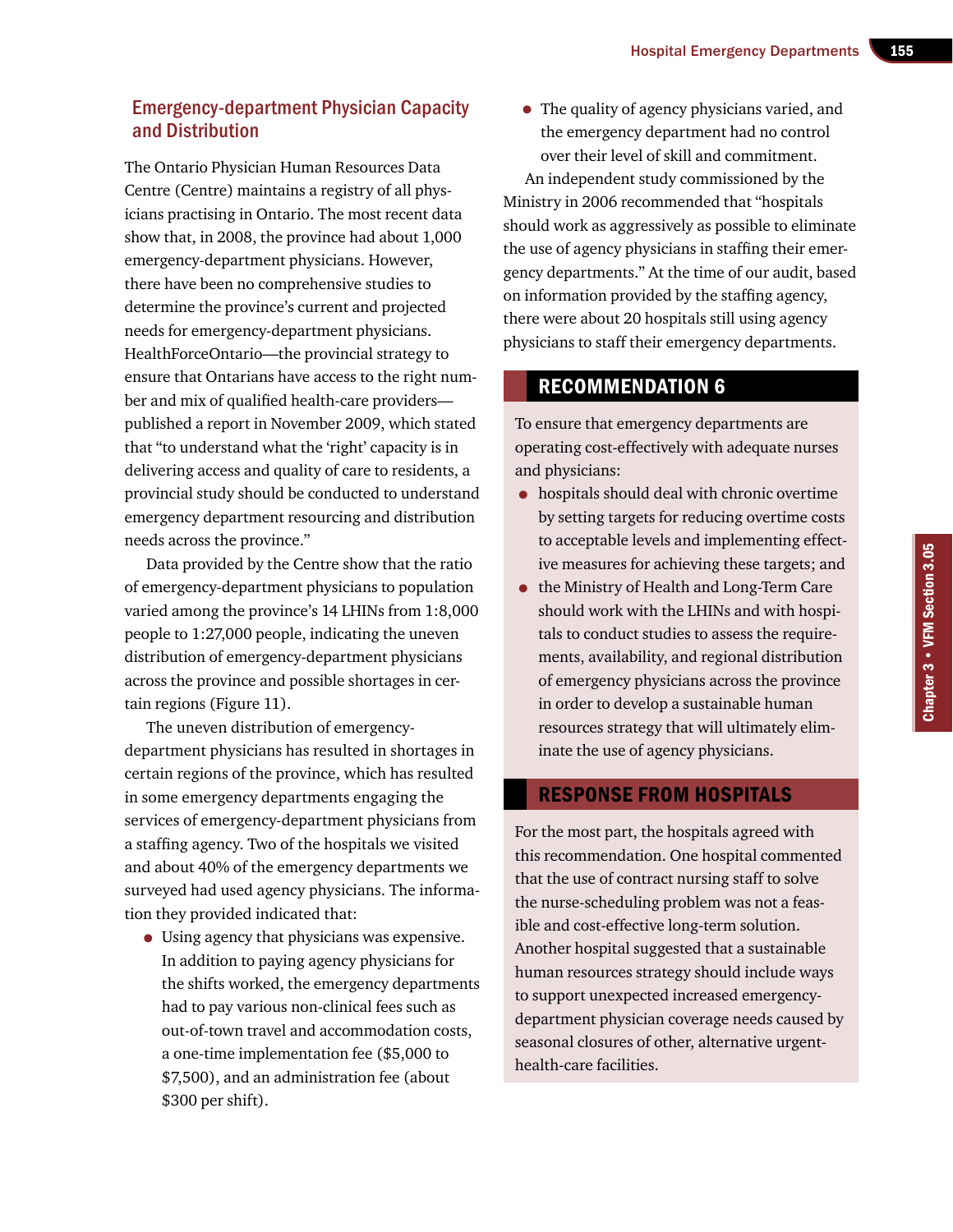## Emergency-department Physician Capacity and Distribution

The Ontario Physician Human Resources Data Centre (Centre) maintains a registry of all physicians practising in Ontario. The most recent data show that, in 2008, the province had about 1,000 emergency-department physicians. However, there have been no comprehensive studies to determine the province's current and projected needs for emergency-department physicians. HealthForceOntario—the provincial strategy to ensure that Ontarians have access to the right number and mix of qualified health-care providers published a report in November 2009, which stated that "to understand what the 'right' capacity is in delivering access and quality of care to residents, a provincial study should be conducted to understand emergency department resourcing and distribution needs across the province."

Data provided by the Centre show that the ratio of emergency-department physicians to population varied among the province's 14 LHINs from 1:8,000 people to 1:27,000 people, indicating the uneven distribution of emergency-department physicians across the province and possible shortages in certain regions (Figure 11).

The uneven distribution of emergencydepartment physicians has resulted in shortages in certain regions of the province, which has resulted in some emergency departments engaging the services of emergency-department physicians from a staffing agency. Two of the hospitals we visited and about 40% of the emergency departments we surveyed had used agency physicians. The information they provided indicated that:

• Using agency that physicians was expensive. In addition to paying agency physicians for the shifts worked, the emergency departments had to pay various non-clinical fees such as out-of-town travel and accommodation costs, a one-time implementation fee (\$5,000 to \$7,500), and an administration fee (about \$300 per shift).

• The quality of agency physicians varied, and the emergency department had no control over their level of skill and commitment. An independent study commissioned by the Ministry in 2006 recommended that "hospitals should work as aggressively as possible to eliminate the use of agency physicians in staffing their emergency departments." At the time of our audit, based on information provided by the staffing agency, there were about 20 hospitals still using agency physicians to staff their emergency departments.

## Recommendation 6

To ensure that emergency departments are operating cost-effectively with adequate nurses and physicians:

- hospitals should deal with chronic overtime by setting targets for reducing overtime costs to acceptable levels and implementing effective measures for achieving these targets; and
- the Ministry of Health and Long-Term Care should work with the LHINs and with hospitals to conduct studies to assess the requirements, availability, and regional distribution of emergency physicians across the province in order to develop a sustainable human resources strategy that will ultimately eliminate the use of agency physicians.

## Response from Hospitals

For the most part, the hospitals agreed with this recommendation. One hospital commented that the use of contract nursing staff to solve the nurse-scheduling problem was not a feasible and cost-effective long-term solution. Another hospital suggested that a sustainable human resources strategy should include ways to support unexpected increased emergencydepartment physician coverage needs caused by seasonal closures of other, alternative urgenthealth-care facilities.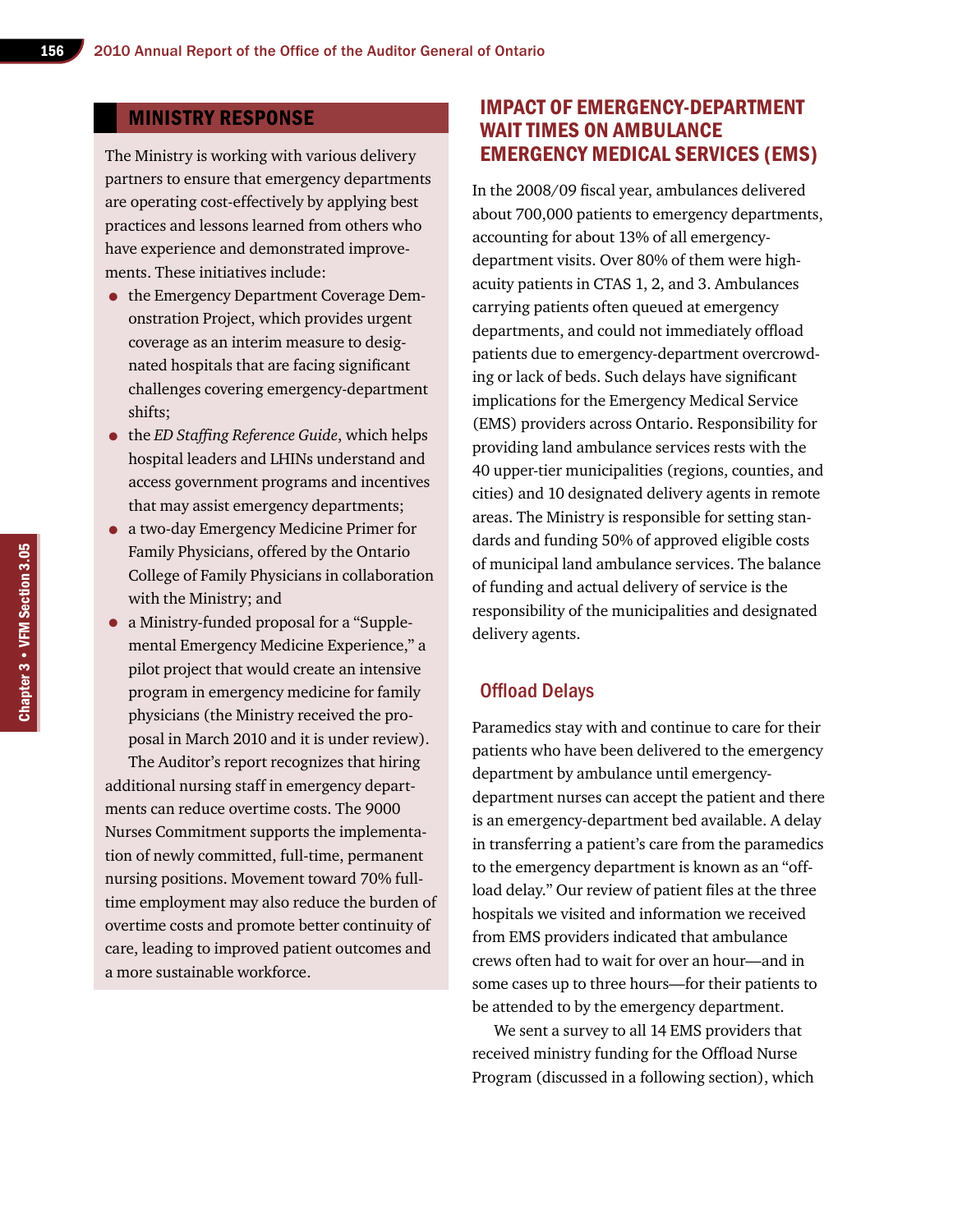### Ministry Response

The Ministry is working with various delivery partners to ensure that emergency departments are operating cost-effectively by applying best practices and lessons learned from others who have experience and demonstrated improvements. These initiatives include:

- the Emergency Department Coverage Demonstration Project, which provides urgent coverage as an interim measure to designated hospitals that are facing significant challenges covering emergency-department shifts;
- the *ED Staffing Reference Guide*, which helps hospital leaders and LHINs understand and access government programs and incentives that may assist emergency departments;
- a two-day Emergency Medicine Primer for Family Physicians, offered by the Ontario College of Family Physicians in collaboration with the Ministry; and
- a Ministry-funded proposal for a "Supplemental Emergency Medicine Experience," a pilot project that would create an intensive program in emergency medicine for family physicians (the Ministry received the proposal in March 2010 and it is under review).

The Auditor's report recognizes that hiring additional nursing staff in emergency departments can reduce overtime costs. The 9000 Nurses Commitment supports the implementation of newly committed, full-time, permanent nursing positions. Movement toward 70% fulltime employment may also reduce the burden of overtime costs and promote better continuity of care, leading to improved patient outcomes and a more sustainable workforce.

## Impact of Emergency-department Wait Times on ambulance Emergency Medical Services (EMS)

In the 2008/09 fiscal year, ambulances delivered about 700,000 patients to emergency departments, accounting for about 13% of all emergencydepartment visits. Over 80% of them were highacuity patients in CTAS 1, 2, and 3. Ambulances carrying patients often queued at emergency departments, and could not immediately offload patients due to emergency-department overcrowding or lack of beds. Such delays have significant implications for the Emergency Medical Service (EMS) providers across Ontario. Responsibility for providing land ambulance services rests with the 40 upper-tier municipalities (regions, counties, and cities) and 10 designated delivery agents in remote areas. The Ministry is responsible for setting standards and funding 50% of approved eligible costs of municipal land ambulance services. The balance of funding and actual delivery of service is the responsibility of the municipalities and designated delivery agents.

#### Offload Delays

Paramedics stay with and continue to care for their patients who have been delivered to the emergency department by ambulance until emergencydepartment nurses can accept the patient and there is an emergency-department bed available. A delay in transferring a patient's care from the paramedics to the emergency department is known as an "offload delay." Our review of patient files at the three hospitals we visited and information we received from EMS providers indicated that ambulance crews often had to wait for over an hour—and in some cases up to three hours—for their patients to be attended to by the emergency department.

We sent a survey to all 14 EMS providers that received ministry funding for the Offload Nurse Program (discussed in a following section), which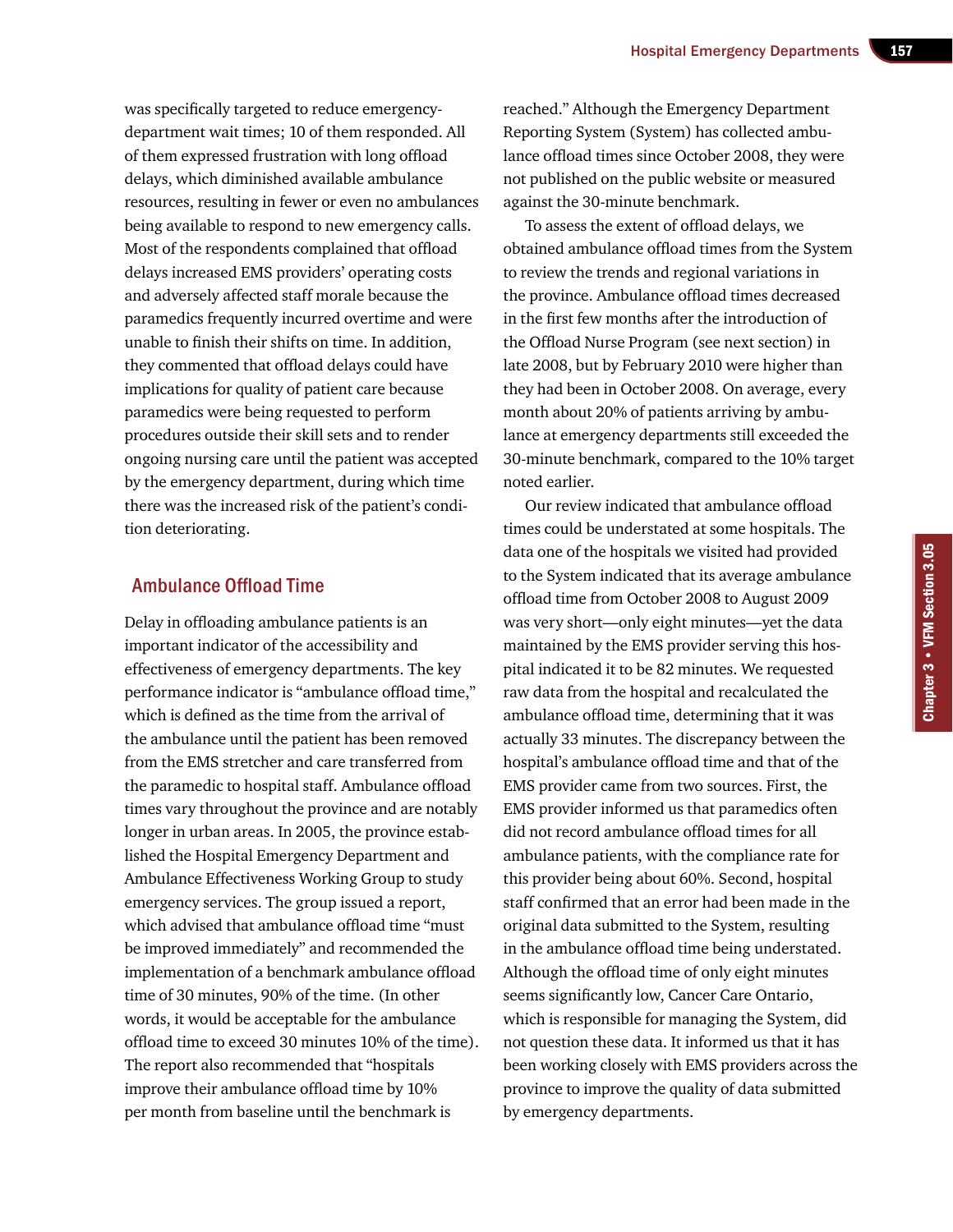was specifically targeted to reduce emergencydepartment wait times; 10 of them responded. All of them expressed frustration with long offload delays, which diminished available ambulance resources, resulting in fewer or even no ambulances being available to respond to new emergency calls. Most of the respondents complained that offload delays increased EMS providers' operating costs and adversely affected staff morale because the paramedics frequently incurred overtime and were unable to finish their shifts on time. In addition, they commented that offload delays could have implications for quality of patient care because paramedics were being requested to perform procedures outside their skill sets and to render ongoing nursing care until the patient was accepted by the emergency department, during which time there was the increased risk of the patient's condition deteriorating.

#### Ambulance Offload Time

Delay in offloading ambulance patients is an important indicator of the accessibility and effectiveness of emergency departments. The key performance indicator is "ambulance offload time," which is defined as the time from the arrival of the ambulance until the patient has been removed from the EMS stretcher and care transferred from the paramedic to hospital staff. Ambulance offload times vary throughout the province and are notably longer in urban areas. In 2005, the province established the Hospital Emergency Department and Ambulance Effectiveness Working Group to study emergency services. The group issued a report, which advised that ambulance offload time "must be improved immediately" and recommended the implementation of a benchmark ambulance offload time of 30 minutes, 90% of the time. (In other words, it would be acceptable for the ambulance offload time to exceed 30 minutes 10% of the time). The report also recommended that "hospitals improve their ambulance offload time by 10% per month from baseline until the benchmark is

reached." Although the Emergency Department Reporting System (System) has collected ambulance offload times since October 2008, they were not published on the public website or measured against the 30-minute benchmark.

To assess the extent of offload delays, we obtained ambulance offload times from the System to review the trends and regional variations in the province. Ambulance offload times decreased in the first few months after the introduction of the Offload Nurse Program (see next section) in late 2008, but by February 2010 were higher than they had been in October 2008. On average, every month about 20% of patients arriving by ambulance at emergency departments still exceeded the 30-minute benchmark, compared to the 10% target noted earlier.

Our review indicated that ambulance offload times could be understated at some hospitals. The data one of the hospitals we visited had provided to the System indicated that its average ambulance offload time from October 2008 to August 2009 was very short—only eight minutes—yet the data maintained by the EMS provider serving this hospital indicated it to be 82 minutes. We requested raw data from the hospital and recalculated the ambulance offload time, determining that it was actually 33 minutes. The discrepancy between the hospital's ambulance offload time and that of the EMS provider came from two sources. First, the EMS provider informed us that paramedics often did not record ambulance offload times for all ambulance patients, with the compliance rate for this provider being about 60%. Second, hospital staff confirmed that an error had been made in the original data submitted to the System, resulting in the ambulance offload time being understated. Although the offload time of only eight minutes seems significantly low, Cancer Care Ontario, which is responsible for managing the System, did not question these data. It informed us that it has been working closely with EMS providers across the province to improve the quality of data submitted by emergency departments.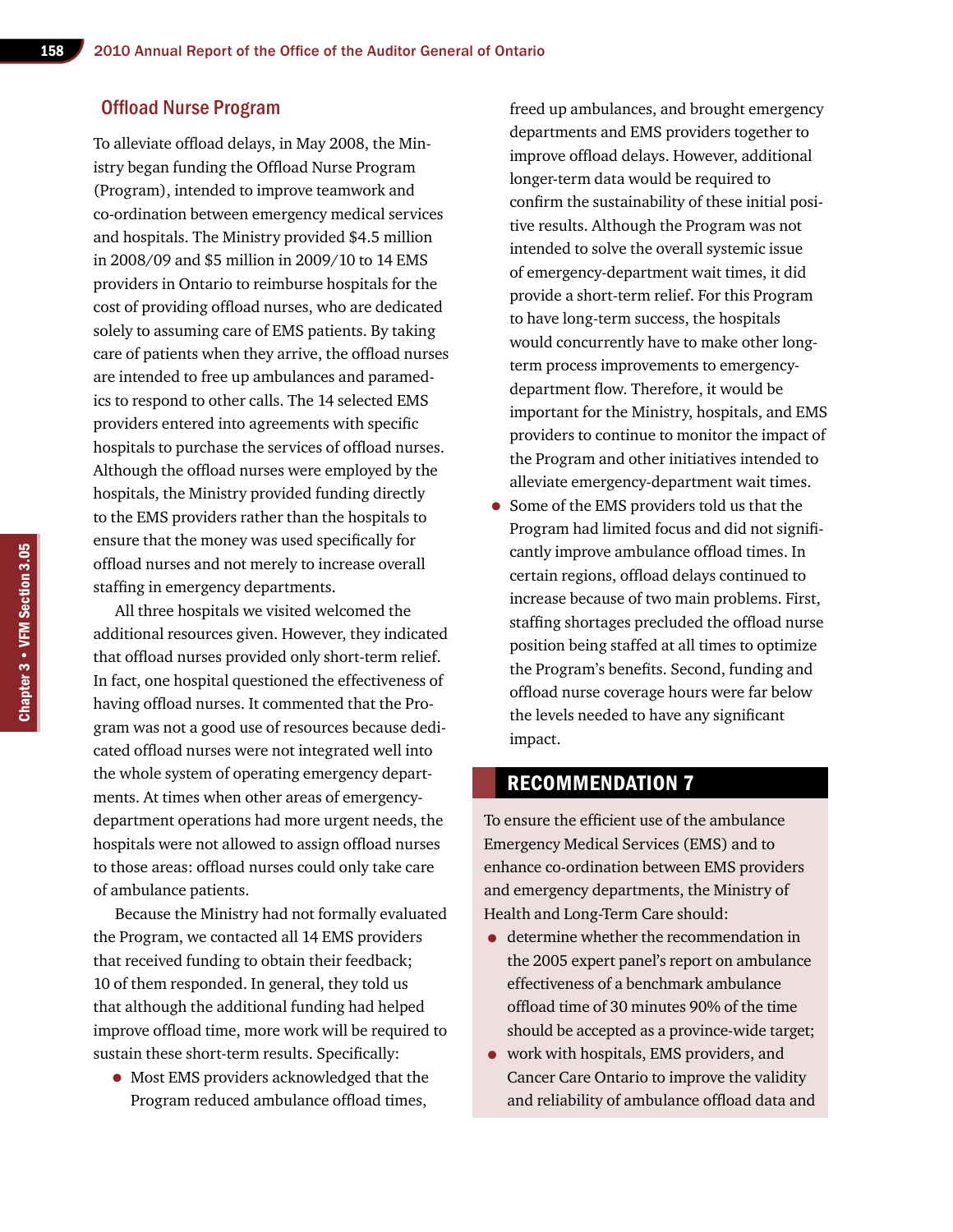## Offload Nurse Program

To alleviate offload delays, in May 2008, the Ministry began funding the Offload Nurse Program (Program), intended to improve teamwork and co-ordination between emergency medical services and hospitals. The Ministry provided \$4.5 million in 2008/09 and \$5 million in 2009/10 to 14 EMS providers in Ontario to reimburse hospitals for the cost of providing offload nurses, who are dedicated solely to assuming care of EMS patients. By taking care of patients when they arrive, the offload nurses are intended to free up ambulances and paramedics to respond to other calls. The 14 selected EMS providers entered into agreements with specific hospitals to purchase the services of offload nurses. Although the offload nurses were employed by the hospitals, the Ministry provided funding directly to the EMS providers rather than the hospitals to ensure that the money was used specifically for offload nurses and not merely to increase overall staffing in emergency departments.

All three hospitals we visited welcomed the additional resources given. However, they indicated that offload nurses provided only short-term relief. In fact, one hospital questioned the effectiveness of having offload nurses. It commented that the Program was not a good use of resources because dedicated offload nurses were not integrated well into the whole system of operating emergency departments. At times when other areas of emergencydepartment operations had more urgent needs, the hospitals were not allowed to assign offload nurses to those areas: offload nurses could only take care of ambulance patients.

Because the Ministry had not formally evaluated the Program, we contacted all 14 EMS providers that received funding to obtain their feedback; 10 of them responded. In general, they told us that although the additional funding had helped improve offload time, more work will be required to sustain these short-term results. Specifically:

• Most EMS providers acknowledged that the Program reduced ambulance offload times,

freed up ambulances, and brought emergency departments and EMS providers together to improve offload delays. However, additional longer-term data would be required to confirm the sustainability of these initial positive results. Although the Program was not intended to solve the overall systemic issue of emergency-department wait times, it did provide a short-term relief. For this Program to have long-term success, the hospitals would concurrently have to make other longterm process improvements to emergencydepartment flow. Therefore, it would be important for the Ministry, hospitals, and EMS providers to continue to monitor the impact of the Program and other initiatives intended to alleviate emergency-department wait times.

• Some of the EMS providers told us that the Program had limited focus and did not significantly improve ambulance offload times. In certain regions, offload delays continued to increase because of two main problems. First, staffing shortages precluded the offload nurse position being staffed at all times to optimize the Program's benefits. Second, funding and offload nurse coverage hours were far below the levels needed to have any significant impact.

## Recommendation 7

To ensure the efficient use of the ambulance Emergency Medical Services (EMS) and to enhance co-ordination between EMS providers and emergency departments, the Ministry of Health and Long-Term Care should:

- determine whether the recommendation in the 2005 expert panel's report on ambulance effectiveness of a benchmark ambulance offload time of 30 minutes 90% of the time should be accepted as a province-wide target;
- work with hospitals, EMS providers, and Cancer Care Ontario to improve the validity and reliability of ambulance offload data and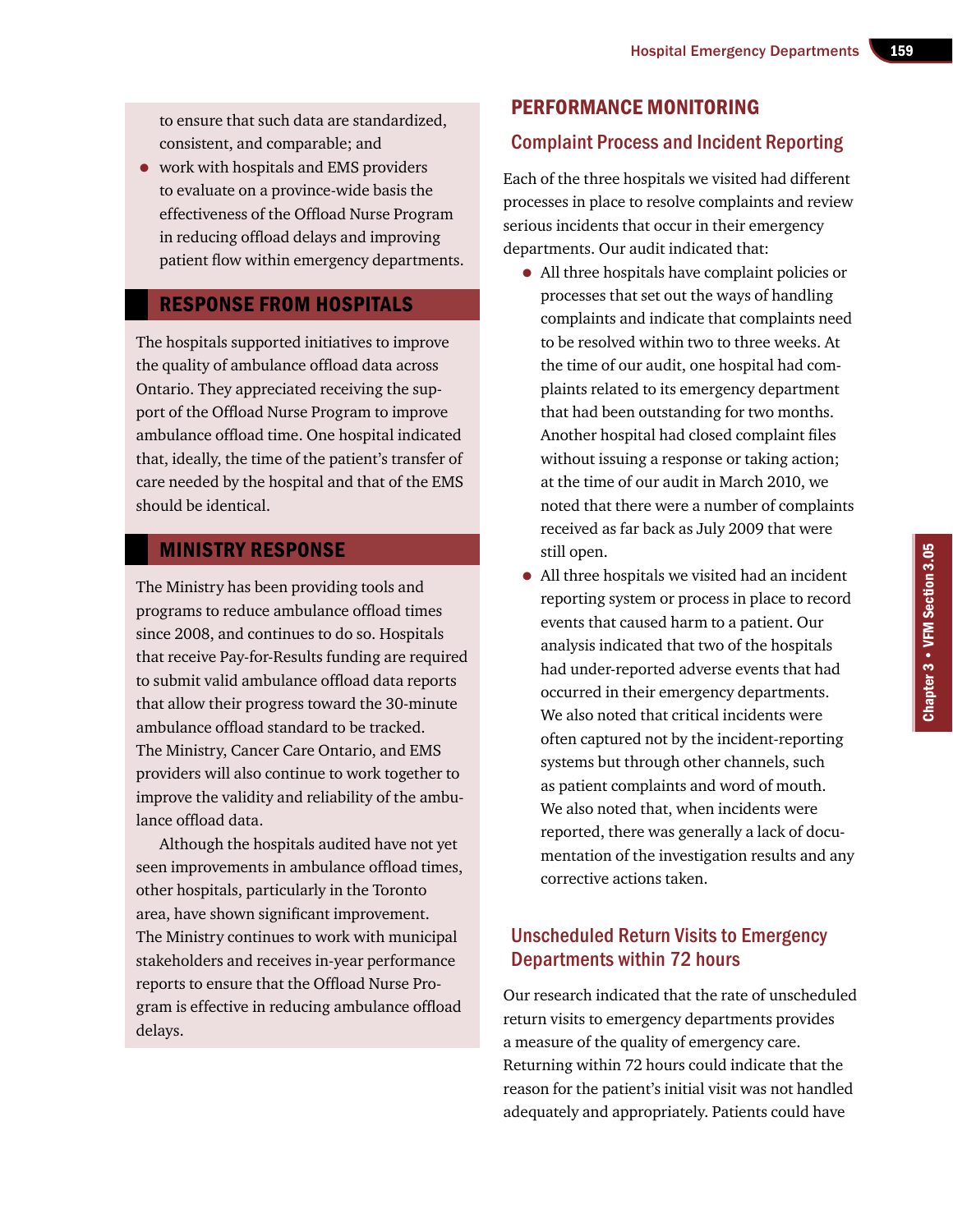to ensure that such data are standardized, consistent, and comparable; and

• work with hospitals and EMS providers to evaluate on a province-wide basis the effectiveness of the Offload Nurse Program in reducing offload delays and improving patient flow within emergency departments.

## Response from Hospitals

The hospitals supported initiatives to improve the quality of ambulance offload data across Ontario. They appreciated receiving the support of the Offload Nurse Program to improve ambulance offload time. One hospital indicated that, ideally, the time of the patient's transfer of care needed by the hospital and that of the EMS should be identical.

## Ministry Response

The Ministry has been providing tools and programs to reduce ambulance offload times since 2008, and continues to do so. Hospitals that receive Pay-for-Results funding are required to submit valid ambulance offload data reports that allow their progress toward the 30-minute ambulance offload standard to be tracked. The Ministry, Cancer Care Ontario, and EMS providers will also continue to work together to improve the validity and reliability of the ambulance offload data.

Although the hospitals audited have not yet seen improvements in ambulance offload times, other hospitals, particularly in the Toronto area, have shown significant improvement. The Ministry continues to work with municipal stakeholders and receives in-year performance reports to ensure that the Offload Nurse Program is effective in reducing ambulance offload delays.

## Performance Monitoring

## Complaint Process and Incident Reporting

Each of the three hospitals we visited had different processes in place to resolve complaints and review serious incidents that occur in their emergency departments. Our audit indicated that:

- All three hospitals have complaint policies or processes that set out the ways of handling complaints and indicate that complaints need to be resolved within two to three weeks. At the time of our audit, one hospital had complaints related to its emergency department that had been outstanding for two months. Another hospital had closed complaint files without issuing a response or taking action; at the time of our audit in March 2010, we noted that there were a number of complaints received as far back as July 2009 that were still open.
- All three hospitals we visited had an incident reporting system or process in place to record events that caused harm to a patient. Our analysis indicated that two of the hospitals had under-reported adverse events that had occurred in their emergency departments. We also noted that critical incidents were often captured not by the incident-reporting systems but through other channels, such as patient complaints and word of mouth. We also noted that, when incidents were reported, there was generally a lack of documentation of the investigation results and any corrective actions taken.

## Unscheduled Return Visits to Emergency Departments within 72 hours

Our research indicated that the rate of unscheduled return visits to emergency departments provides a measure of the quality of emergency care. Returning within 72 hours could indicate that the reason for the patient's initial visit was not handled adequately and appropriately. Patients could have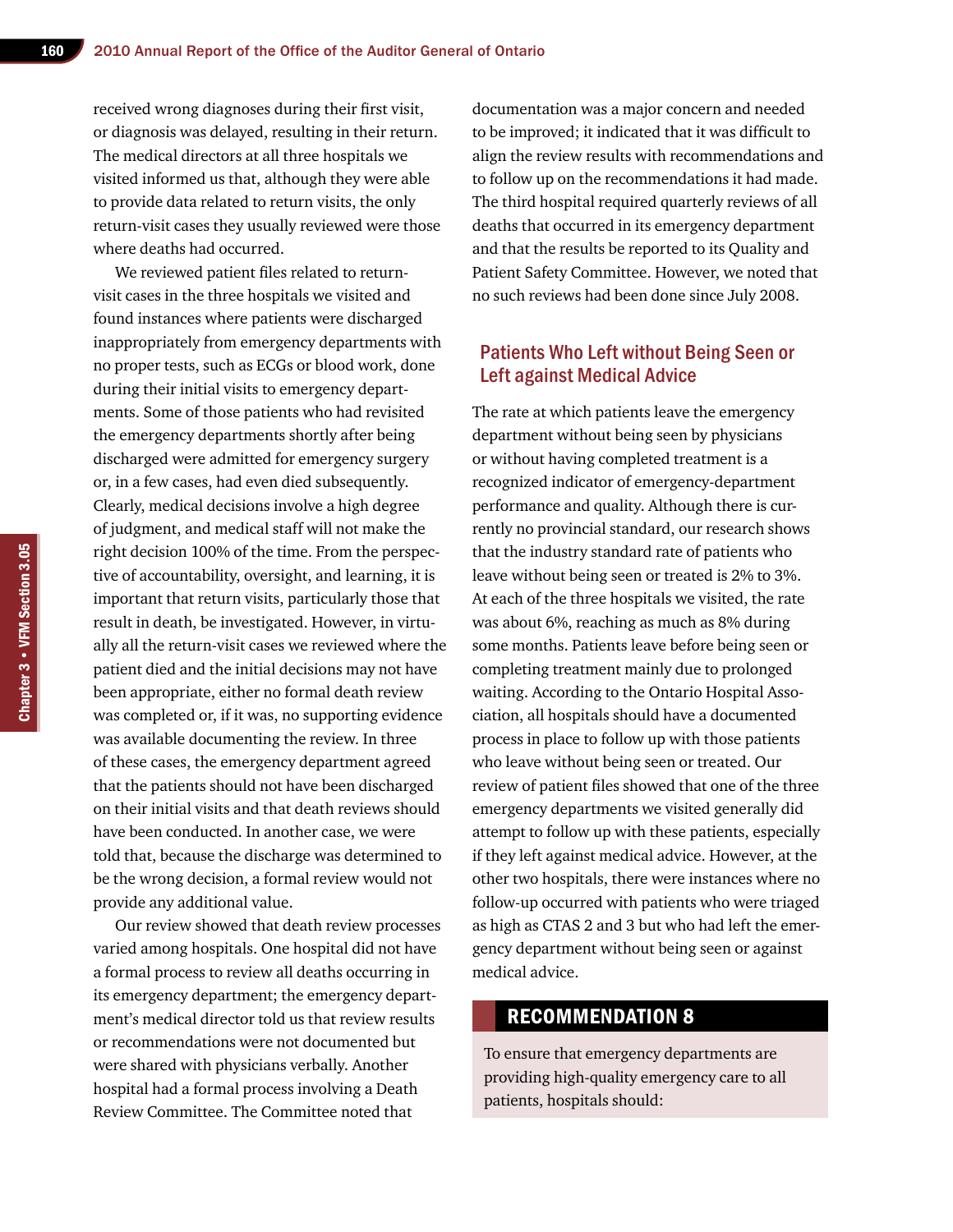received wrong diagnoses during their first visit, or diagnosis was delayed, resulting in their return. The medical directors at all three hospitals we visited informed us that, although they were able to provide data related to return visits, the only return-visit cases they usually reviewed were those where deaths had occurred.

We reviewed patient files related to returnvisit cases in the three hospitals we visited and found instances where patients were discharged inappropriately from emergency departments with no proper tests, such as ECGs or blood work, done during their initial visits to emergency departments. Some of those patients who had revisited the emergency departments shortly after being discharged were admitted for emergency surgery or, in a few cases, had even died subsequently. Clearly, medical decisions involve a high degree of judgment, and medical staff will not make the right decision 100% of the time. From the perspective of accountability, oversight, and learning, it is important that return visits, particularly those that result in death, be investigated. However, in virtually all the return-visit cases we reviewed where the patient died and the initial decisions may not have been appropriate, either no formal death review was completed or, if it was, no supporting evidence was available documenting the review. In three of these cases, the emergency department agreed that the patients should not have been discharged on their initial visits and that death reviews should have been conducted. In another case, we were told that, because the discharge was determined to be the wrong decision, a formal review would not provide any additional value.

Our review showed that death review processes varied among hospitals. One hospital did not have a formal process to review all deaths occurring in its emergency department; the emergency department's medical director told us that review results or recommendations were not documented but were shared with physicians verbally. Another hospital had a formal process involving a Death Review Committee. The Committee noted that

documentation was a major concern and needed to be improved; it indicated that it was difficult to align the review results with recommendations and to follow up on the recommendations it had made. The third hospital required quarterly reviews of all deaths that occurred in its emergency department and that the results be reported to its Quality and Patient Safety Committee. However, we noted that no such reviews had been done since July 2008.

## Patients Who Left without Being Seen or Left against Medical Advice

The rate at which patients leave the emergency department without being seen by physicians or without having completed treatment is a recognized indicator of emergency-department performance and quality. Although there is currently no provincial standard, our research shows that the industry standard rate of patients who leave without being seen or treated is 2% to 3%. At each of the three hospitals we visited, the rate was about 6%, reaching as much as 8% during some months. Patients leave before being seen or completing treatment mainly due to prolonged waiting. According to the Ontario Hospital Association, all hospitals should have a documented process in place to follow up with those patients who leave without being seen or treated. Our review of patient files showed that one of the three emergency departments we visited generally did attempt to follow up with these patients, especially if they left against medical advice. However, at the other two hospitals, there were instances where no follow-up occurred with patients who were triaged as high as CTAS 2 and 3 but who had left the emergency department without being seen or against medical advice.

#### Recommendation 8

To ensure that emergency departments are providing high-quality emergency care to all patients, hospitals should: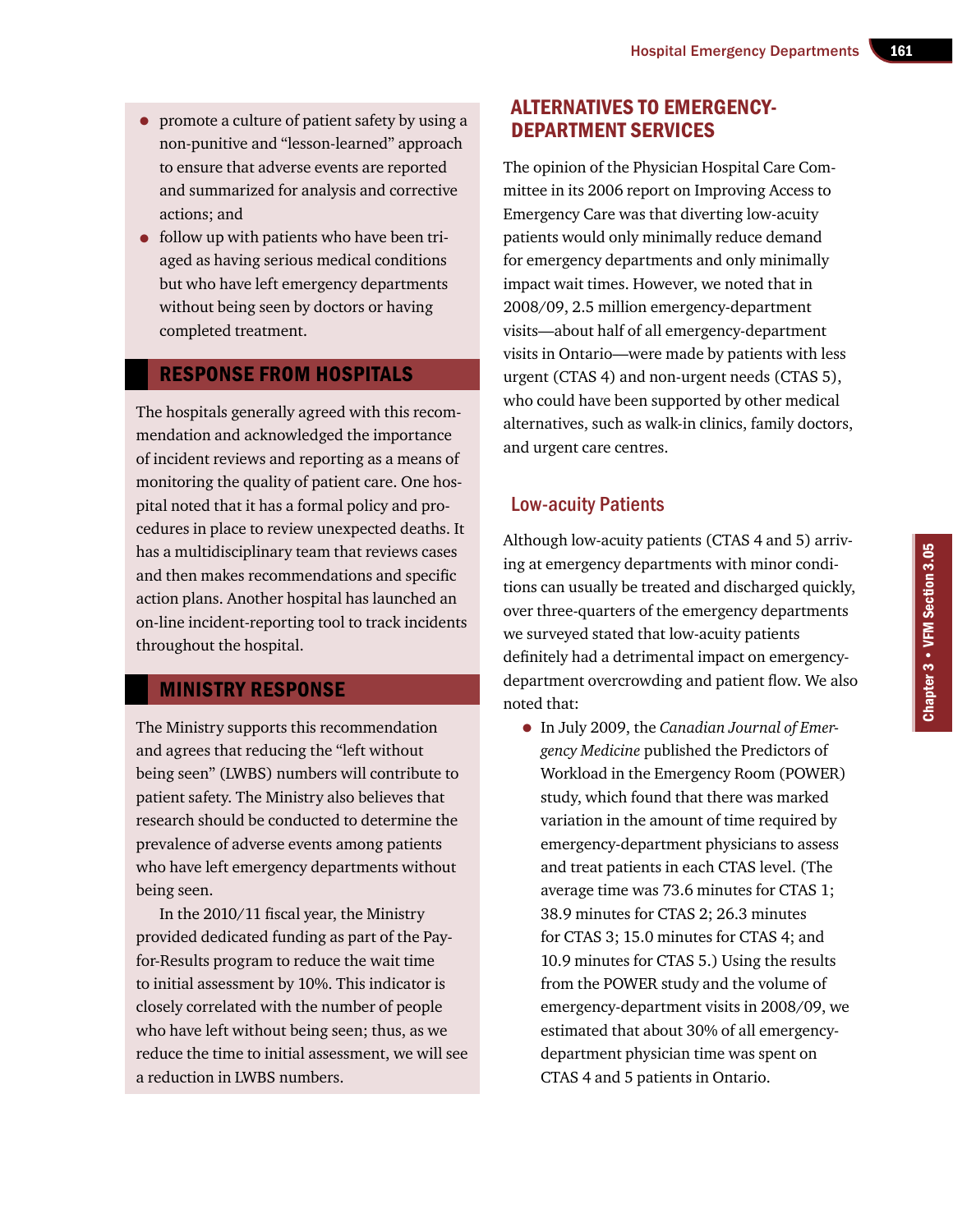- promote a culture of patient safety by using a non-punitive and "lesson-learned" approach to ensure that adverse events are reported and summarized for analysis and corrective actions; and
- follow up with patients who have been triaged as having serious medical conditions but who have left emergency departments without being seen by doctors or having completed treatment.

#### Response from Hospitals

The hospitals generally agreed with this recommendation and acknowledged the importance of incident reviews and reporting as a means of monitoring the quality of patient care. One hospital noted that it has a formal policy and procedures in place to review unexpected deaths. It has a multidisciplinary team that reviews cases and then makes recommendations and specific action plans. Another hospital has launched an on-line incident-reporting tool to track incidents throughout the hospital.

## Ministry Response

The Ministry supports this recommendation and agrees that reducing the "left without being seen" (LWBS) numbers will contribute to patient safety. The Ministry also believes that research should be conducted to determine the prevalence of adverse events among patients who have left emergency departments without being seen.

In the 2010/11 fiscal year, the Ministry provided dedicated funding as part of the Payfor-Results program to reduce the wait time to initial assessment by 10%. This indicator is closely correlated with the number of people who have left without being seen; thus, as we reduce the time to initial assessment, we will see a reduction in LWBS numbers.

## Alternatives to Emergency-Department Services

The opinion of the Physician Hospital Care Committee in its 2006 report on Improving Access to Emergency Care was that diverting low-acuity patients would only minimally reduce demand for emergency departments and only minimally impact wait times. However, we noted that in 2008/09, 2.5 million emergency-department visits—about half of all emergency-department visits in Ontario—were made by patients with less urgent (CTAS 4) and non-urgent needs (CTAS 5), who could have been supported by other medical alternatives, such as walk-in clinics, family doctors, and urgent care centres.

## Low-acuity Patients

Although low-acuity patients (CTAS 4 and 5) arriving at emergency departments with minor conditions can usually be treated and discharged quickly, over three-quarters of the emergency departments we surveyed stated that low-acuity patients definitely had a detrimental impact on emergencydepartment overcrowding and patient flow. We also noted that:

• In July 2009, the *Canadian Journal of Emergency Medicine* published the Predictors of Workload in the Emergency Room (POWER) study, which found that there was marked variation in the amount of time required by emergency-department physicians to assess and treat patients in each CTAS level. (The average time was 73.6 minutes for CTAS 1; 38.9 minutes for CTAS 2; 26.3 minutes for CTAS 3; 15.0 minutes for CTAS 4; and 10.9 minutes for CTAS 5.) Using the results from the POWER study and the volume of emergency-department visits in 2008/09, we estimated that about 30% of all emergencydepartment physician time was spent on CTAS 4 and 5 patients in Ontario.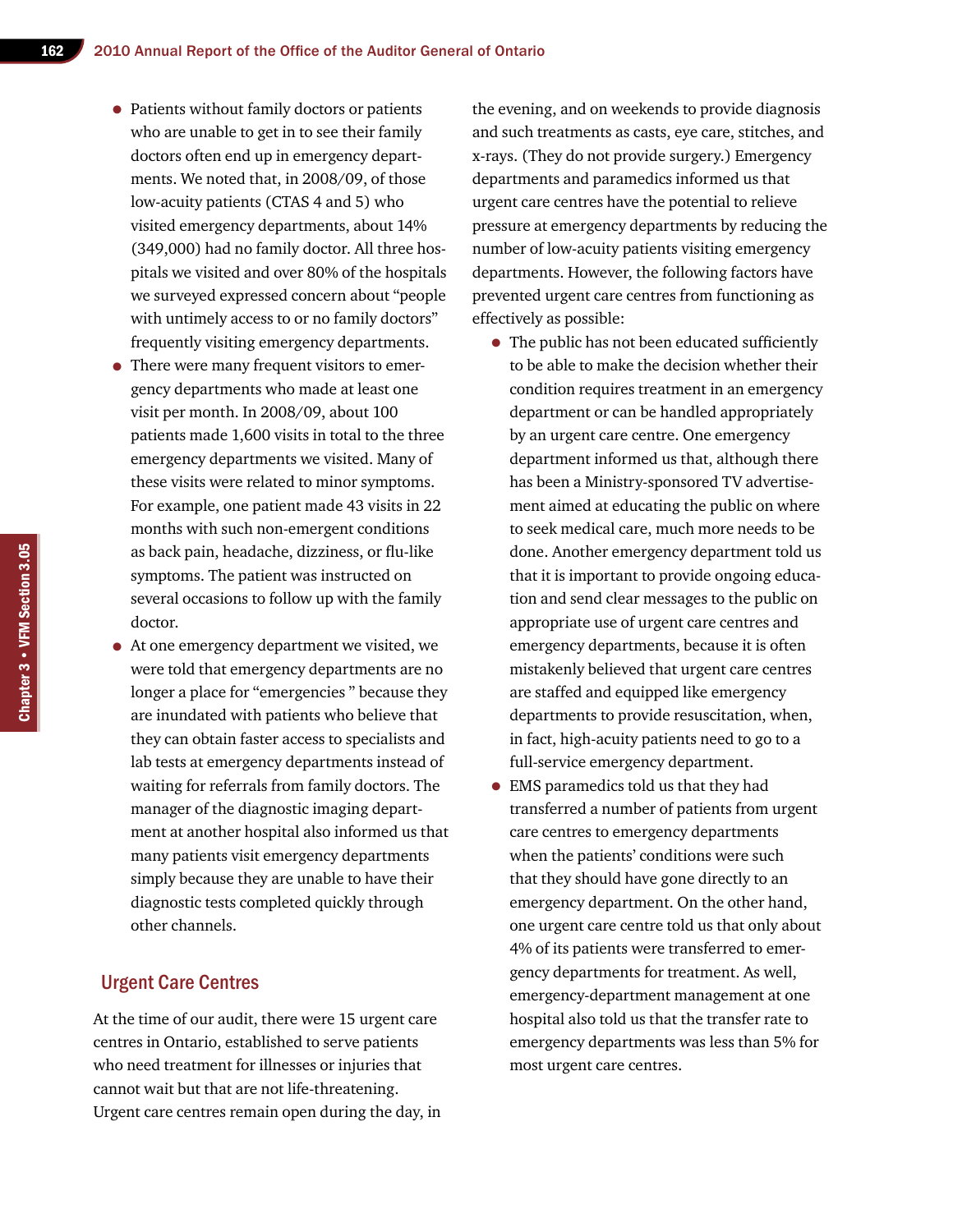- Patients without family doctors or patients who are unable to get in to see their family doctors often end up in emergency departments. We noted that, in 2008/09, of those low-acuity patients (CTAS 4 and 5) who visited emergency departments, about 14% (349,000) had no family doctor. All three hospitals we visited and over 80% of the hospitals we surveyed expressed concern about "people with untimely access to or no family doctors" frequently visiting emergency departments.
- There were many frequent visitors to emergency departments who made at least one visit per month. In 2008/09, about 100 patients made 1,600 visits in total to the three emergency departments we visited. Many of these visits were related to minor symptoms. For example, one patient made 43 visits in 22 months with such non-emergent conditions as back pain, headache, dizziness, or flu-like symptoms. The patient was instructed on several occasions to follow up with the family doctor.
- At one emergency department we visited, we were told that emergency departments are no longer a place for "emergencies " because they are inundated with patients who believe that they can obtain faster access to specialists and lab tests at emergency departments instead of waiting for referrals from family doctors. The manager of the diagnostic imaging department at another hospital also informed us that many patients visit emergency departments simply because they are unable to have their diagnostic tests completed quickly through other channels.

#### Urgent Care Centres

At the time of our audit, there were 15 urgent care centres in Ontario, established to serve patients who need treatment for illnesses or injuries that cannot wait but that are not life-threatening. Urgent care centres remain open during the day, in the evening, and on weekends to provide diagnosis and such treatments as casts, eye care, stitches, and x-rays. (They do not provide surgery.) Emergency departments and paramedics informed us that urgent care centres have the potential to relieve pressure at emergency departments by reducing the number of low-acuity patients visiting emergency departments. However, the following factors have prevented urgent care centres from functioning as effectively as possible:

- The public has not been educated sufficiently to be able to make the decision whether their condition requires treatment in an emergency department or can be handled appropriately by an urgent care centre. One emergency department informed us that, although there has been a Ministry-sponsored TV advertisement aimed at educating the public on where to seek medical care, much more needs to be done. Another emergency department told us that it is important to provide ongoing education and send clear messages to the public on appropriate use of urgent care centres and emergency departments, because it is often mistakenly believed that urgent care centres are staffed and equipped like emergency departments to provide resuscitation, when, in fact, high-acuity patients need to go to a full-service emergency department.
- EMS paramedics told us that they had transferred a number of patients from urgent care centres to emergency departments when the patients' conditions were such that they should have gone directly to an emergency department. On the other hand, one urgent care centre told us that only about 4% of its patients were transferred to emergency departments for treatment. As well, emergency-department management at one hospital also told us that the transfer rate to emergency departments was less than 5% for most urgent care centres.